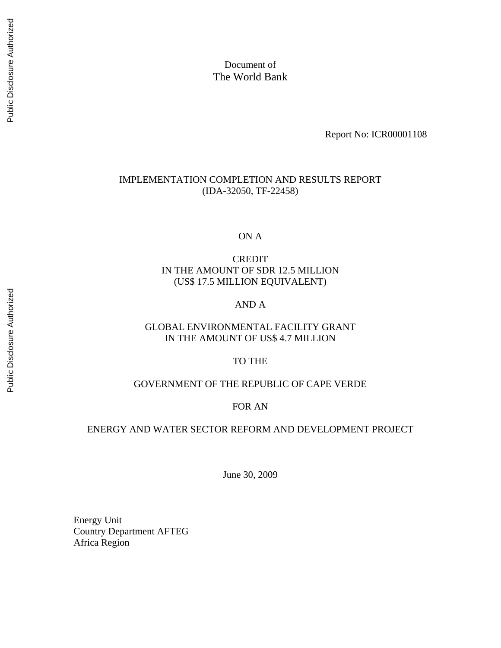Document of The World Bank

Report No: ICR00001108

#### IMPLEMENTATION COMPLETION AND RESULTS REPORT (IDA-32050, TF-22458)

ON A

CREDIT IN THE AMOUNT OF SDR 12.5 MILLION (US\$ 17.5 MILLION EQUIVALENT)

# AND A

# GLOBAL ENVIRONMENTAL FACILITY GRANT IN THE AMOUNT OF US\$ 4.7 MILLION

#### TO THE

# GOVERNMENT OF THE REPUBLIC OF CAPE VERDE

#### FOR AN

# ENERGY AND WATER SECTOR REFORM AND DEVELOPMENT PROJECT

June 30, 2009

Energy Unit Country Department AFTEG Africa Region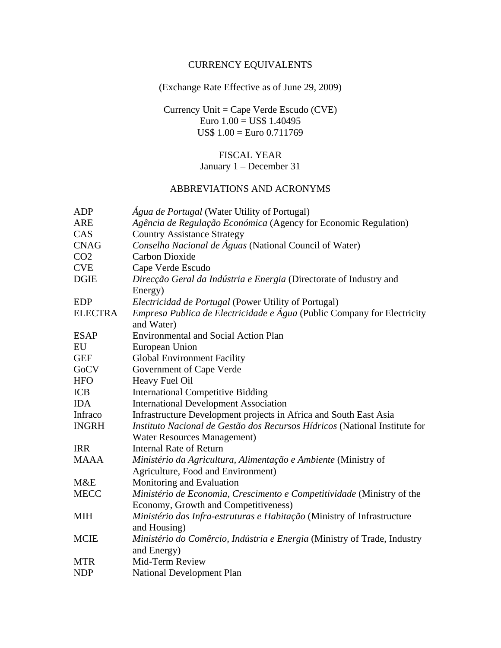# CURRENCY EQUIVALENTS

# (Exchange Rate Effective as of June 29, 2009)

Currency Unit = Cape Verde Escudo (CVE) Euro  $1.00 = US\$  1.40495 US\$ 1.00 = Euro 0.711769

# FISCAL YEAR January 1 – December 31

# ABBREVIATIONS AND ACRONYMS

| <b>ADP</b>      |                                                                                              |
|-----------------|----------------------------------------------------------------------------------------------|
|                 | <i>Água de Portugal</i> (Water Utility of Portugal)                                          |
| ARE<br>CAS      | Agência de Regulação Económica (Agency for Economic Regulation)                              |
|                 | <b>Country Assistance Strategy</b>                                                           |
| <b>CNAG</b>     | Conselho Nacional de Águas (National Council of Water)                                       |
| CO <sub>2</sub> | <b>Carbon Dioxide</b>                                                                        |
| <b>CVE</b>      | Cape Verde Escudo                                                                            |
| <b>DGIE</b>     | Direcção Geral da Indústria e Energia (Directorate of Industry and<br>Energy)                |
| <b>EDP</b>      | Electricidad de Portugal (Power Utility of Portugal)                                         |
| <b>ELECTRA</b>  | <i>Empresa Publica de Electricidade e Água</i> (Public Company for Electricity<br>and Water) |
| <b>ESAP</b>     | <b>Environmental and Social Action Plan</b>                                                  |
| EU              | European Union                                                                               |
| <b>GEF</b>      | <b>Global Environment Facility</b>                                                           |
| GoCV            | Government of Cape Verde                                                                     |
| <b>HFO</b>      | Heavy Fuel Oil                                                                               |
| <b>ICB</b>      | <b>International Competitive Bidding</b>                                                     |
| <b>IDA</b>      | <b>International Development Association</b>                                                 |
| Infraco         | Infrastructure Development projects in Africa and South East Asia                            |
| <b>INGRH</b>    | Instituto Nacional de Gestão dos Recursos Hídricos (National Institute for                   |
|                 | <b>Water Resources Management)</b>                                                           |
| <b>IRR</b>      | <b>Internal Rate of Return</b>                                                               |
| <b>MAAA</b>     | Ministério da Agricultura, Alimentação e Ambiente (Ministry of                               |
|                 | Agriculture, Food and Environment)                                                           |
| M&E             | Monitoring and Evaluation                                                                    |
| <b>MECC</b>     | Ministério de Economia, Crescimento e Competitividade (Ministry of the                       |
|                 | Economy, Growth and Competitiveness)                                                         |
| <b>MIH</b>      | Ministério das Infra-estruturas e Habitação (Ministry of Infrastructure                      |
|                 | and Housing)                                                                                 |
| <b>MCIE</b>     | Ministério do Comêrcio, Indústria e Energia (Ministry of Trade, Industry                     |
|                 | and Energy)                                                                                  |
| <b>MTR</b>      | Mid-Term Review                                                                              |
| <b>NDP</b>      | <b>National Development Plan</b>                                                             |
|                 |                                                                                              |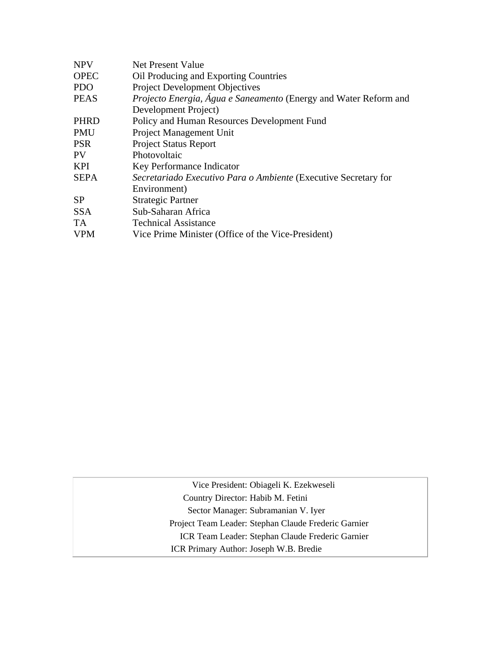| <b>NPV</b>  | <b>Net Present Value</b>                                         |
|-------------|------------------------------------------------------------------|
| <b>OPEC</b> | Oil Producing and Exporting Countries                            |
| <b>PDO</b>  | <b>Project Development Objectives</b>                            |
| <b>PEAS</b> | Projecto Energia, Água e Saneamento (Energy and Water Reform and |
|             | Development Project)                                             |
| <b>PHRD</b> | Policy and Human Resources Development Fund                      |
| <b>PMU</b>  | Project Management Unit                                          |
| <b>PSR</b>  | <b>Project Status Report</b>                                     |
| <b>PV</b>   | Photovoltaic                                                     |
| <b>KPI</b>  | Key Performance Indicator                                        |
| <b>SEPA</b> | Secretariado Executivo Para o Ambiente (Executive Secretary for  |
|             | Environment)                                                     |
| <b>SP</b>   | <b>Strategic Partner</b>                                         |
| <b>SSA</b>  | Sub-Saharan Africa                                               |
| TA.         | <b>Technical Assistance</b>                                      |
| <b>VPM</b>  | Vice Prime Minister (Office of the Vice-President)               |
|             |                                                                  |

Vice President: Obiageli K. Ezekweseli Country Director: Habib M. Fetini Sector Manager: Subramanian V. Iyer Project Team Leader: Stephan Claude Frederic Garnier ICR Team Leader: Stephan Claude Frederic Garnier ICR Primary Author: Joseph W.B. Bredie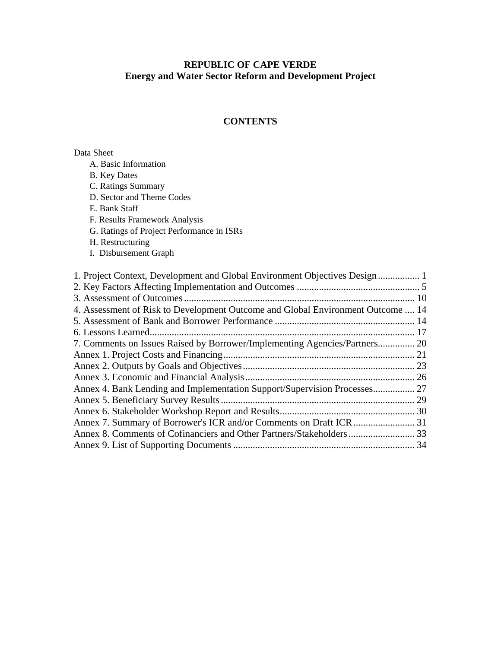# **REPUBLIC OF CAPE VERDE Energy and Water Sector Reform and Development Project**

# **CONTENTS**

# Data Sheet

| A. Basic Information                                                            |  |
|---------------------------------------------------------------------------------|--|
| <b>B.</b> Key Dates                                                             |  |
| C. Ratings Summary                                                              |  |
| D. Sector and Theme Codes                                                       |  |
| E. Bank Staff                                                                   |  |
| F. Results Framework Analysis                                                   |  |
| G. Ratings of Project Performance in ISRs                                       |  |
| H. Restructuring                                                                |  |
| I. Disbursement Graph                                                           |  |
|                                                                                 |  |
| 1. Project Context, Development and Global Environment Objectives Design        |  |
|                                                                                 |  |
|                                                                                 |  |
| 4. Assessment of Risk to Development Outcome and Global Environment Outcome  14 |  |
|                                                                                 |  |
|                                                                                 |  |
| 7. Comments on Issues Raised by Borrower/Implementing Agencies/Partners 20      |  |
|                                                                                 |  |
|                                                                                 |  |
|                                                                                 |  |
|                                                                                 |  |
|                                                                                 |  |
|                                                                                 |  |
|                                                                                 |  |
|                                                                                 |  |
|                                                                                 |  |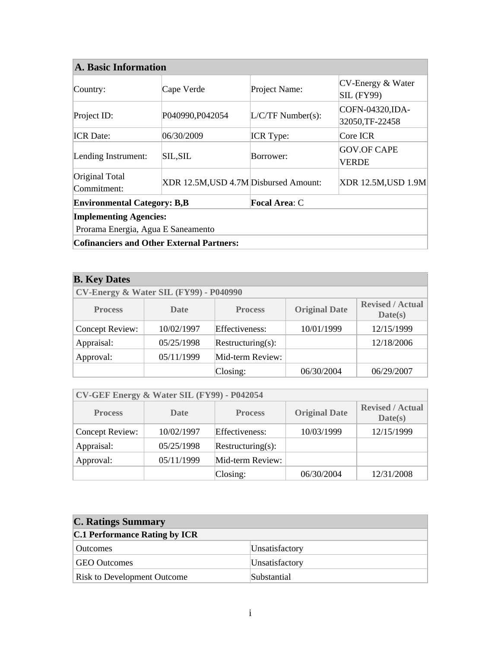# **A. Basic Information**

| <b>Focal Area: C</b><br><b>Environmental Category: B,B</b><br><b>Implementing Agencies:</b><br>Prorama Energia, Agua E Saneamento |                                       |                     |                                        |  |  |
|-----------------------------------------------------------------------------------------------------------------------------------|---------------------------------------|---------------------|----------------------------------------|--|--|
| Original Total<br>Commitment:                                                                                                     | XDR 12.5M, USD 4.7M Disbursed Amount: |                     | <b>XDR 12.5M, USD 1.9M</b>             |  |  |
| Lending Instrument:                                                                                                               | <b>SIL, SIL</b>                       | Borrower:           | <b>GOV.OF CAPE</b><br><b>VERDE</b>     |  |  |
| <b>ICR</b> Date:                                                                                                                  | 06/30/2009                            | <b>ICR</b> Type:    | Core ICR                               |  |  |
| Project ID:                                                                                                                       | P040990, P042054                      | $L/C/TF$ Number(s): | COFN-04320, IDA-<br>32050,TF-22458     |  |  |
| Country:                                                                                                                          | Cape Verde                            | Project Name:       | CV-Energy & Water<br><b>SIL (FY99)</b> |  |  |

| <b>B.</b> Key Dates                                                                                           |            |                   |            |            |  |
|---------------------------------------------------------------------------------------------------------------|------------|-------------------|------------|------------|--|
| <b>CV-Energy &amp; Water SIL (FY99) - P040990</b>                                                             |            |                   |            |            |  |
| <b>Revised / Actual</b><br><b>Original Date</b><br><b>Process</b><br><b>Process</b><br><b>Date</b><br>Date(s) |            |                   |            |            |  |
| <b>Concept Review:</b>                                                                                        | 10/02/1997 | Effectiveness:    | 10/01/1999 | 12/15/1999 |  |
| Appraisal:                                                                                                    | 05/25/1998 | Restructuring(s): |            | 12/18/2006 |  |
| Approval:                                                                                                     | 05/11/1999 | Mid-term Review:  |            |            |  |
|                                                                                                               |            | Closing:          | 06/30/2004 | 06/29/2007 |  |

| CV-GEF Energy & Water SIL (FY99) - P042054                                                                    |            |                   |            |            |  |
|---------------------------------------------------------------------------------------------------------------|------------|-------------------|------------|------------|--|
| <b>Revised / Actual</b><br><b>Original Date</b><br><b>Process</b><br><b>Process</b><br><b>Date</b><br>Date(s) |            |                   |            |            |  |
| Concept Review:                                                                                               | 10/02/1997 | Effectiveness:    | 10/03/1999 | 12/15/1999 |  |
| Appraisal:                                                                                                    | 05/25/1998 | Restructuring(s): |            |            |  |
| Approval:                                                                                                     | 05/11/1999 | Mid-term Review:  |            |            |  |
|                                                                                                               |            | Closing:          | 06/30/2004 | 12/31/2008 |  |

| <b>C. Ratings Summary</b>            |                |  |  |  |
|--------------------------------------|----------------|--|--|--|
| <b>C.1 Performance Rating by ICR</b> |                |  |  |  |
| <b>Outcomes</b>                      | Unsatisfactory |  |  |  |
| <b>GEO Outcomes</b>                  | Unsatisfactory |  |  |  |
| <b>Risk to Development Outcome</b>   | Substantial    |  |  |  |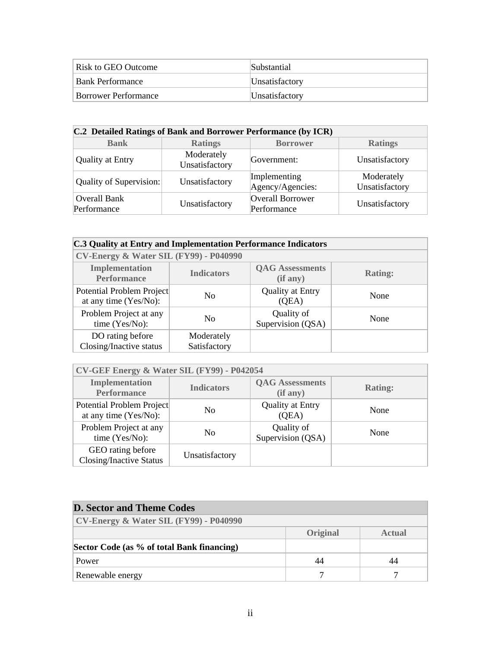| Risk to GEO Outcome         | Substantial    |
|-----------------------------|----------------|
| Bank Performance            | Unsatisfactory |
| <b>Borrower Performance</b> | Unsatisfactory |

| C.2 Detailed Ratings of Bank and Borrower Performance (by ICR) |                              |                                  |                              |  |  |
|----------------------------------------------------------------|------------------------------|----------------------------------|------------------------------|--|--|
| <b>Bank</b>                                                    | <b>Ratings</b>               | <b>Borrower</b>                  | <b>Ratings</b>               |  |  |
| <b>Quality at Entry</b>                                        | Moderately<br>Unsatisfactory | Government:                      | Unsatisfactory               |  |  |
| Quality of Supervision:                                        | Unsatisfactory               | Implementing<br>Agency/Agencies: | Moderately<br>Unsatisfactory |  |  |
| <b>Overall Bank</b><br>Performance                             | Unsatisfactory               | Overall Borrower<br>Performance  | Unsatisfactory               |  |  |

#### **C.3 Quality at Entry and Implementation Performance Indicators**

| CV-Energy & Water SIL (FY99) - P040990             |                            |                                    |                |  |  |
|----------------------------------------------------|----------------------------|------------------------------------|----------------|--|--|
| Implementation<br><b>Performance</b>               | <b>Indicators</b>          | <b>QAG</b> Assessments<br>(if any) | <b>Rating:</b> |  |  |
| Potential Problem Project<br>at any time (Yes/No): | No                         | <b>Quality at Entry</b><br>(QEA)   | None           |  |  |
| Problem Project at any<br>time $(Yes/No)$ :        | N <sub>0</sub>             | Quality of<br>Supervision (QSA)    | None           |  |  |
| DO rating before<br>Closing/Inactive status        | Moderately<br>Satisfactory |                                    |                |  |  |

| CV-GEF Energy & Water SIL (FY99) - P042054          |                   |                                    |                |  |  |
|-----------------------------------------------------|-------------------|------------------------------------|----------------|--|--|
| <b>Implementation</b><br><b>Performance</b>         | <b>Indicators</b> | <b>QAG</b> Assessments<br>(if any) | <b>Rating:</b> |  |  |
| Potential Problem Project<br>at any time (Yes/No):  | N <sub>0</sub>    | <b>Quality at Entry</b><br>(QEA)   | None           |  |  |
| Problem Project at any<br>time (Yes/No):            | N <sub>0</sub>    | Quality of<br>Supervision (QSA)    | None           |  |  |
| GEO rating before<br><b>Closing/Inactive Status</b> | Unsatisfactory    |                                    |                |  |  |

| <b>D. Sector and Theme Codes</b>                |          |        |  |  |  |
|-------------------------------------------------|----------|--------|--|--|--|
| $\text{CV-Energy}$ & Water SIL (FY99) - P040990 |          |        |  |  |  |
|                                                 | Original | Actual |  |  |  |
| Sector Code (as % of total Bank financing)      |          |        |  |  |  |
| Power                                           | 44       | 44     |  |  |  |
| Renewable energy                                |          |        |  |  |  |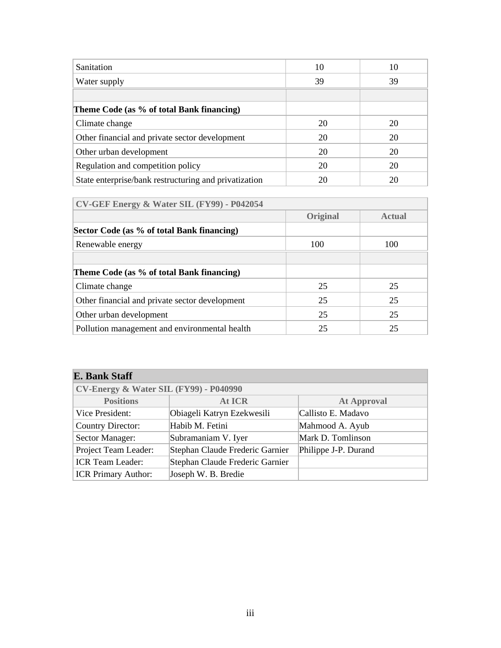| Sanitation                                            | 10 | 10 |
|-------------------------------------------------------|----|----|
| Water supply                                          | 39 | 39 |
|                                                       |    |    |
| Theme Code (as % of total Bank financing)             |    |    |
| Climate change                                        | 20 | 20 |
| Other financial and private sector development        | 20 | 20 |
| Other urban development                               | 20 | 20 |
| Regulation and competition policy                     | 20 | 20 |
| State enterprise/bank restructuring and privatization | 20 | 20 |

 **CV-GEF Energy & Water SIL (FY99) - P042054** 

|                                                | Original | <b>Actual</b> |
|------------------------------------------------|----------|---------------|
| Sector Code (as % of total Bank financing)     |          |               |
| Renewable energy                               | 100      | 100           |
|                                                |          |               |
| Theme Code (as % of total Bank financing)      |          |               |
| Climate change                                 | 25       | 25            |
| Other financial and private sector development | 25       | 25            |
| Other urban development                        | 25       | 25            |
| Pollution management and environmental health  | 25       | 25            |

| <b>E. Bank Staff</b>                              |                                 |                      |  |  |  |  |  |
|---------------------------------------------------|---------------------------------|----------------------|--|--|--|--|--|
| <b>CV-Energy &amp; Water SIL (FY99) - P040990</b> |                                 |                      |  |  |  |  |  |
| <b>Positions</b>                                  | At ICR                          | <b>At Approval</b>   |  |  |  |  |  |
| Vice President:                                   | Obiageli Katryn Ezekwesili      | Callisto E. Madavo   |  |  |  |  |  |
| <b>Country Director:</b>                          | Habib M. Fetini                 | Mahmood A. Ayub      |  |  |  |  |  |
| Sector Manager:                                   | Subramaniam V. Iyer             | Mark D. Tomlinson    |  |  |  |  |  |
| Project Team Leader:                              | Stephan Claude Frederic Garnier | Philippe J-P. Durand |  |  |  |  |  |
| <b>ICR</b> Team Leader:                           | Stephan Claude Frederic Garnier |                      |  |  |  |  |  |
| <b>ICR Primary Author:</b>                        | Joseph W. B. Bredie             |                      |  |  |  |  |  |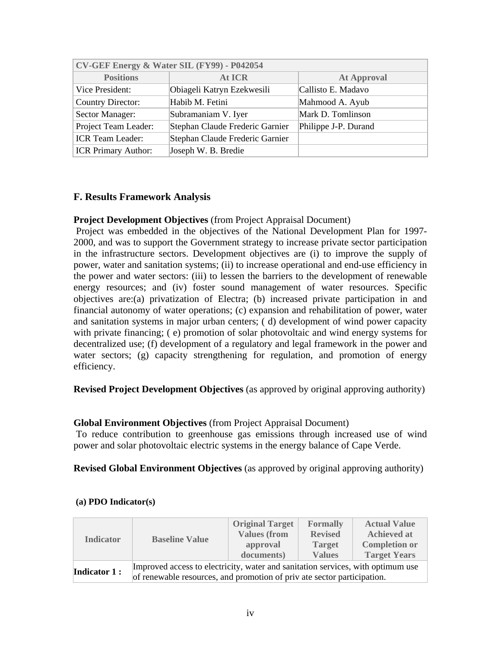| CV-GEF Energy & Water SIL (FY99) - P042054 |                                 |                      |  |  |  |  |
|--------------------------------------------|---------------------------------|----------------------|--|--|--|--|
| <b>Positions</b>                           | At ICR                          | <b>At Approval</b>   |  |  |  |  |
| Vice President:                            | Obiageli Katryn Ezekwesili      | Callisto E. Madavo   |  |  |  |  |
| <b>Country Director:</b>                   | Habib M. Fetini                 | Mahmood A. Ayub      |  |  |  |  |
| Sector Manager:                            | Subramaniam V. Iyer             | Mark D. Tomlinson    |  |  |  |  |
| Project Team Leader:                       | Stephan Claude Frederic Garnier | Philippe J-P. Durand |  |  |  |  |
| <b>ICR</b> Team Leader:                    | Stephan Claude Frederic Garnier |                      |  |  |  |  |
| <b>ICR Primary Author:</b>                 | Joseph W. B. Bredie             |                      |  |  |  |  |

# **F. Results Framework Analysis**

# **Project Development Objectives** (from Project Appraisal Document)

 Project was embedded in the objectives of the National Development Plan for 1997- 2000, and was to support the Government strategy to increase private sector participation in the infrastructure sectors. Development objectives are (i) to improve the supply of power, water and sanitation systems; (ii) to increase operational and end-use efficiency in the power and water sectors: (iii) to lessen the barriers to the development of renewable energy resources; and (iv) foster sound management of water resources. Specific objectives are:(a) privatization of Electra; (b) increased private participation in and financial autonomy of water operations; (c) expansion and rehabilitation of power, water and sanitation systems in major urban centers; ( d) development of wind power capacity with private financing; (e) promotion of solar photovoltaic and wind energy systems for decentralized use; (f) development of a regulatory and legal framework in the power and water sectors; (g) capacity strengthening for regulation, and promotion of energy efficiency.

**Revised Project Development Objectives** (as approved by original approving authority)

# **Global Environment Objectives** (from Project Appraisal Document)

 To reduce contribution to greenhouse gas emissions through increased use of wind power and solar photovoltaic electric systems in the energy balance of Cape Verde.

**Revised Global Environment Objectives** (as approved by original approving authority)

|                                         |                                                                                 | <b>Original Target</b> | <b>Formally</b> | <b>Actual Value</b>  |  |  |
|-----------------------------------------|---------------------------------------------------------------------------------|------------------------|-----------------|----------------------|--|--|
| <b>Indicator</b><br><b>Indicator 1:</b> | <b>Baseline Value</b>                                                           | <b>Values (from</b>    | <b>Revised</b>  | <b>Achieved at</b>   |  |  |
|                                         |                                                                                 | approval               | <b>Target</b>   | <b>Completion or</b> |  |  |
|                                         |                                                                                 | documents)             | <b>Values</b>   | <b>Target Years</b>  |  |  |
|                                         | Improved access to electricity, water and sanitation services, with optimum use |                        |                 |                      |  |  |
|                                         | of renewable resources, and promotion of private sector participation.          |                        |                 |                      |  |  |

# **(a) PDO Indicator(s)**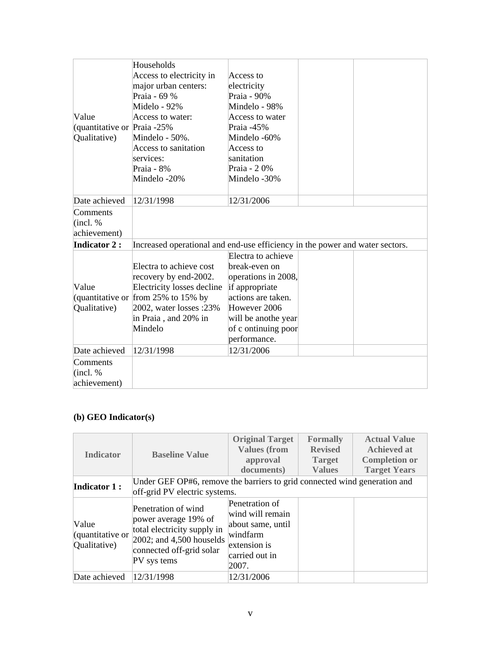|                                | Households                                                                   |                     |  |
|--------------------------------|------------------------------------------------------------------------------|---------------------|--|
|                                | Access to electricity in                                                     | Access to           |  |
|                                | major urban centers:                                                         | electricity         |  |
|                                | Praia - 69 %                                                                 | Praia - 90%         |  |
|                                | Midelo - 92%                                                                 | Mindelo - 98%       |  |
| Value                          | Access to water:                                                             | Access to water     |  |
| (quantitative or Praia $-25\%$ |                                                                              | Praia -45%          |  |
| Qualitative)                   | Mindelo - 50%.                                                               | Mindelo -60%        |  |
|                                | Access to sanitation                                                         | Access to           |  |
|                                | services:                                                                    | sanitation          |  |
|                                | Praia - 8%                                                                   | Praia - 20%         |  |
|                                | Mindelo-20%                                                                  | Mindelo -30%        |  |
|                                |                                                                              |                     |  |
| Date achieved                  | 12/31/1998                                                                   | 12/31/2006          |  |
| Comments                       |                                                                              |                     |  |
| $ $ (incl. %)                  |                                                                              |                     |  |
| achievement)                   |                                                                              |                     |  |
| <b>Indicator 2:</b>            | Increased operational and end-use efficiency in the power and water sectors. |                     |  |
|                                |                                                                              | Electra to achieve  |  |
|                                | Electra to achieve cost                                                      | break-even on       |  |
|                                | recovery by end-2002.                                                        | operations in 2008, |  |
| Value                          | Electricity losses decline                                                   | if appropriate      |  |
|                                | (quantitative or from 25% to 15% by                                          | actions are taken.  |  |
| Qualitative)                   | 2002, water losses : 23%                                                     | However 2006        |  |
|                                | in Praia, and 20% in                                                         | will be anothe year |  |
|                                | Mindelo                                                                      | of c ontinuing poor |  |
|                                |                                                                              | performance.        |  |
| Date achieved                  | 12/31/1998                                                                   | 12/31/2006          |  |
| Comments                       |                                                                              |                     |  |
| (incl. %                       |                                                                              |                     |  |
| achievement)                   |                                                                              |                     |  |
|                                |                                                                              |                     |  |

# **(b) GEO Indicator(s)**

| <b>Indicator</b>                          | <b>Baseline Value</b>                                                                                                                                | <b>Original Target</b><br><b>Values (from</b><br>approval<br>documents)                                        | <b>Formally</b><br><b>Revised</b><br><b>Target</b><br><b>Values</b> | <b>Actual Value</b><br><b>Achieved at</b><br><b>Completion or</b><br><b>Target Years</b> |
|-------------------------------------------|------------------------------------------------------------------------------------------------------------------------------------------------------|----------------------------------------------------------------------------------------------------------------|---------------------------------------------------------------------|------------------------------------------------------------------------------------------|
| <b>Indicator 1:</b>                       | Under GEF OP#6, remove the barriers to grid connected wind generation and<br>off-grid PV electric systems.                                           |                                                                                                                |                                                                     |                                                                                          |
| Value<br>(quantitative or<br>Qualitative) | Penetration of wind<br>power average 19% of<br>total electricity supply in<br>$2002$ ; and 4,500 houselds<br>connected off-grid solar<br>PV sys tems | Penetration of<br>wind will remain<br>about same, until<br>windfarm<br>extension is<br>carried out in<br>2007. |                                                                     |                                                                                          |
| Date achieved                             | 12/31/1998                                                                                                                                           | 12/31/2006                                                                                                     |                                                                     |                                                                                          |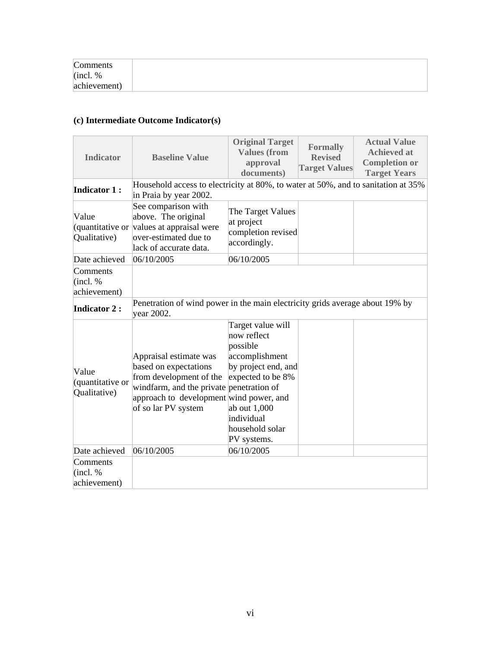| Comments     |  |  |
|--------------|--|--|
| (incl. %     |  |  |
| achievement) |  |  |

# **(c) Intermediate Outcome Indicator(s)**

| <b>Indicator</b>                          | <b>Baseline Value</b>                                                                                                                                                                    | <b>Original Target</b><br><b>Values (from</b><br>approval<br>documents)                                                                                                    | <b>Formally</b><br><b>Revised</b><br><b>Target Values</b> | <b>Actual Value</b><br><b>Achieved at</b><br><b>Completion or</b><br><b>Target Years</b> |
|-------------------------------------------|------------------------------------------------------------------------------------------------------------------------------------------------------------------------------------------|----------------------------------------------------------------------------------------------------------------------------------------------------------------------------|-----------------------------------------------------------|------------------------------------------------------------------------------------------|
| <b>Indicator 1:</b>                       | Household access to electricity at 80%, to water at 50%, and to sanitation at 35%<br>in Praia by year 2002.                                                                              |                                                                                                                                                                            |                                                           |                                                                                          |
| Value<br>(quantitative or<br>Qualitative) | See comparison with<br>above. The original<br>values at appraisal were<br>over-estimated due to<br>lack of accurate data.                                                                | The Target Values<br>at project<br>completion revised<br>accordingly.                                                                                                      |                                                           |                                                                                          |
| Date achieved                             | 06/10/2005                                                                                                                                                                               | 06/10/2005                                                                                                                                                                 |                                                           |                                                                                          |
| Comments<br>(incl. %<br>achievement)      |                                                                                                                                                                                          |                                                                                                                                                                            |                                                           |                                                                                          |
| <b>Indicator 2:</b>                       | Penetration of wind power in the main electricity grids average about 19% by<br>year 2002.                                                                                               |                                                                                                                                                                            |                                                           |                                                                                          |
| Value<br>(quantitative or<br>Qualitative) | Appraisal estimate was<br>based on expectations<br>from development of the<br>windfarm, and the private penetration of<br>approach to development wind power, and<br>of so lar PV system | Target value will<br>now reflect<br>possible<br>accomplishment<br>by project end, and<br>expected to be 8%<br>ab out 1,000<br>individual<br>household solar<br>PV systems. |                                                           |                                                                                          |
| Date achieved                             | 06/10/2005                                                                                                                                                                               | 06/10/2005                                                                                                                                                                 |                                                           |                                                                                          |
| Comments<br>(incl. %<br>achievement)      |                                                                                                                                                                                          |                                                                                                                                                                            |                                                           |                                                                                          |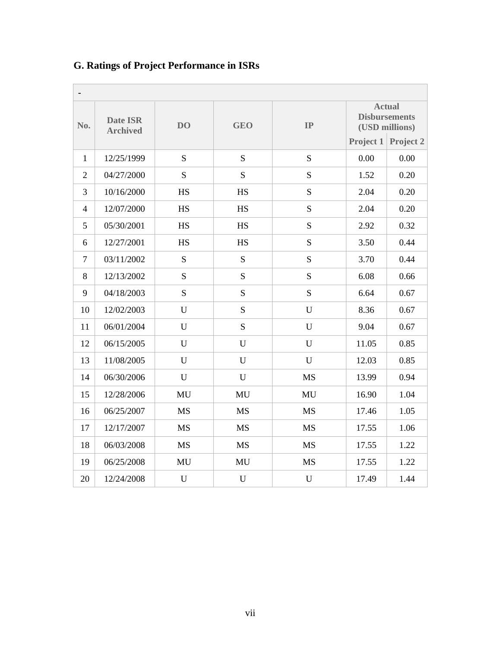| $\blacksquare$ |                                    |                |             |             |                                                         |           |
|----------------|------------------------------------|----------------|-------------|-------------|---------------------------------------------------------|-----------|
| No.            | <b>Date ISR</b><br><b>Archived</b> | D <sub>O</sub> | <b>GEO</b>  | IP          | <b>Actual</b><br><b>Disbursements</b><br>(USD millions) |           |
|                |                                    |                |             |             | Project 1                                               | Project 2 |
| $\mathbf{1}$   | 12/25/1999                         | S              | S           | S           | 0.00                                                    | 0.00      |
| $\overline{2}$ | 04/27/2000                         | S              | S           | S           | 1.52                                                    | 0.20      |
| 3              | 10/16/2000                         | <b>HS</b>      | <b>HS</b>   | S           | 2.04                                                    | 0.20      |
| $\overline{4}$ | 12/07/2000                         | <b>HS</b>      | HS          | S           | 2.04                                                    | 0.20      |
| 5              | 05/30/2001                         | <b>HS</b>      | <b>HS</b>   | ${\bf S}$   | 2.92                                                    | 0.32      |
| 6              | 12/27/2001                         | <b>HS</b>      | <b>HS</b>   | S           | 3.50                                                    | 0.44      |
| $\tau$         | 03/11/2002                         | S              | S           | S           | 3.70                                                    | 0.44      |
| 8              | 12/13/2002                         | S              | S           | S           | 6.08                                                    | 0.66      |
| 9              | 04/18/2003                         | S              | S           | S           | 6.64                                                    | 0.67      |
| 10             | 12/02/2003                         | U              | S           | U           | 8.36                                                    | 0.67      |
| 11             | 06/01/2004                         | U              | ${\bf S}$   | U           | 9.04                                                    | 0.67      |
| 12             | 06/15/2005                         | U              | $\mathbf U$ | U           | 11.05                                                   | 0.85      |
| 13             | 11/08/2005                         | U              | U           | U           | 12.03                                                   | 0.85      |
| 14             | 06/30/2006                         | U              | U           | <b>MS</b>   | 13.99                                                   | 0.94      |
| 15             | 12/28/2006                         | MU             | MU          | MU          | 16.90                                                   | 1.04      |
| 16             | 06/25/2007                         | <b>MS</b>      | <b>MS</b>   | <b>MS</b>   | 17.46                                                   | 1.05      |
| 17             | 12/17/2007                         | <b>MS</b>      | <b>MS</b>   | <b>MS</b>   | 17.55                                                   | 1.06      |
| 18             | 06/03/2008                         | <b>MS</b>      | <b>MS</b>   | <b>MS</b>   | 17.55                                                   | 1.22      |
| 19             | 06/25/2008                         | MU             | MU          | <b>MS</b>   | 17.55                                                   | 1.22      |
| 20             | 12/24/2008                         | $\mathbf U$    | $\mathbf U$ | $\mathbf U$ | 17.49                                                   | 1.44      |

# **G. Ratings of Project Performance in ISRs**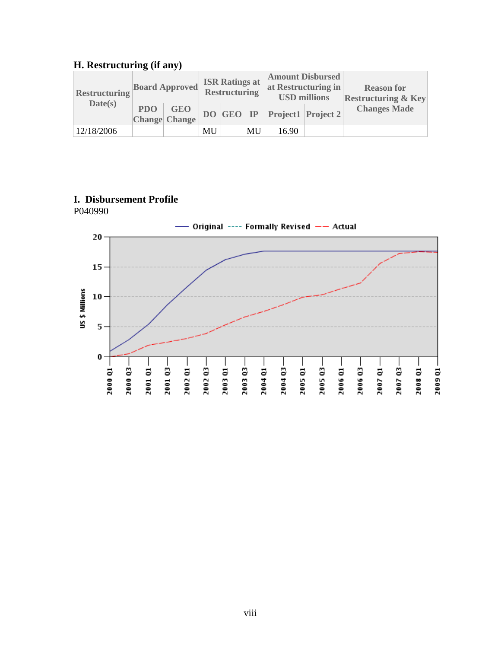# **H. Restructuring (if any)**

| <b>Restructuring</b> | <b>Board Approved</b> |                          | <b>ISR Ratings at</b><br>Restructuring |  | <b>Amount Disbursed</b><br>at Restructuring in<br><b>USD millions</b> |       | <b>Reason for</b><br><b>Restructuring &amp; Key</b> |                     |
|----------------------|-----------------------|--------------------------|----------------------------------------|--|-----------------------------------------------------------------------|-------|-----------------------------------------------------|---------------------|
| Date(s)              |                       | PDO GEO<br>Change Change |                                        |  |                                                                       |       | DO GEO IP Project1 Project 2                        | <b>Changes Made</b> |
| 12/18/2006           |                       |                          | MU                                     |  | MU                                                                    | 16.90 |                                                     |                     |

# **I. Disbursement Profile**

P040990

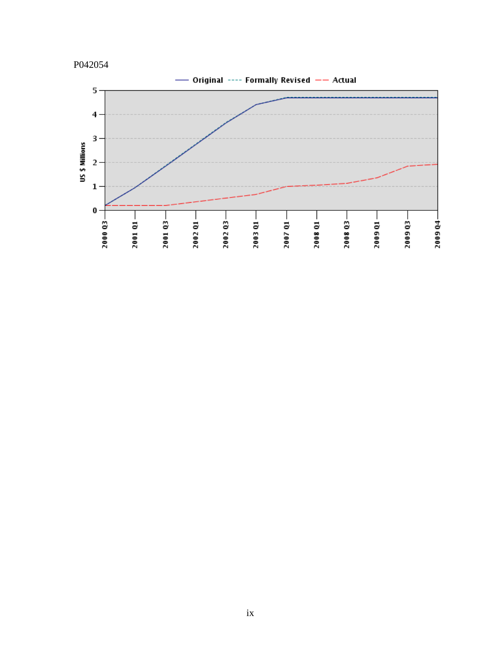

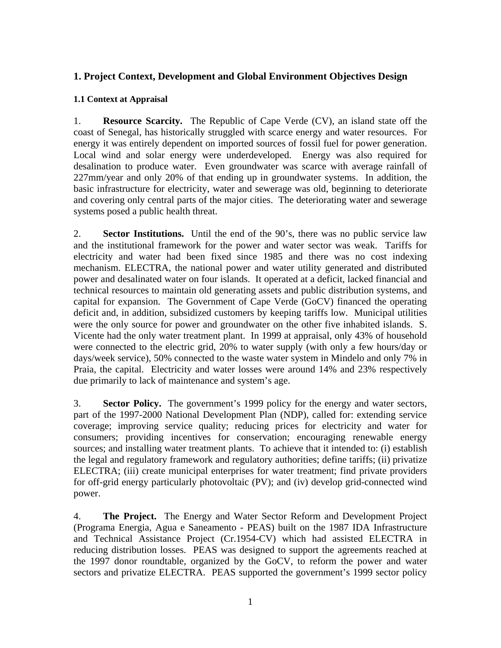# **1. Project Context, Development and Global Environment Objectives Design**

# **1.1 Context at Appraisal**

1. **Resource Scarcity.** The Republic of Cape Verde (CV), an island state off the coast of Senegal, has historically struggled with scarce energy and water resources. For energy it was entirely dependent on imported sources of fossil fuel for power generation. Local wind and solar energy were underdeveloped. Energy was also required for desalination to produce water. Even groundwater was scarce with average rainfall of 227mm/year and only 20% of that ending up in groundwater systems. In addition, the basic infrastructure for electricity, water and sewerage was old, beginning to deteriorate and covering only central parts of the major cities. The deteriorating water and sewerage systems posed a public health threat.

2. **Sector Institutions.** Until the end of the 90's, there was no public service law and the institutional framework for the power and water sector was weak. Tariffs for electricity and water had been fixed since 1985 and there was no cost indexing mechanism. ELECTRA, the national power and water utility generated and distributed power and desalinated water on four islands. It operated at a deficit, lacked financial and technical resources to maintain old generating assets and public distribution systems, and capital for expansion. The Government of Cape Verde (GoCV) financed the operating deficit and, in addition, subsidized customers by keeping tariffs low. Municipal utilities were the only source for power and groundwater on the other five inhabited islands. S. Vicente had the only water treatment plant. In 1999 at appraisal, only 43% of household were connected to the electric grid, 20% to water supply (with only a few hours/day or days/week service), 50% connected to the waste water system in Mindelo and only 7% in Praia, the capital. Electricity and water losses were around 14% and 23% respectively due primarily to lack of maintenance and system's age.

3. **Sector Policy.** The government's 1999 policy for the energy and water sectors, part of the 1997-2000 National Development Plan (NDP), called for: extending service coverage; improving service quality; reducing prices for electricity and water for consumers; providing incentives for conservation; encouraging renewable energy sources; and installing water treatment plants. To achieve that it intended to: (i) establish the legal and regulatory framework and regulatory authorities; define tariffs; (ii) privatize ELECTRA; (iii) create municipal enterprises for water treatment; find private providers for off-grid energy particularly photovoltaic (PV); and (iv) develop grid-connected wind power.

4. **The Project.** The Energy and Water Sector Reform and Development Project (Programa Energia, Agua e Saneamento - PEAS) built on the 1987 IDA Infrastructure and Technical Assistance Project (Cr.1954-CV) which had assisted ELECTRA in reducing distribution losses. PEAS was designed to support the agreements reached at the 1997 donor roundtable, organized by the GoCV, to reform the power and water sectors and privatize ELECTRA. PEAS supported the government's 1999 sector policy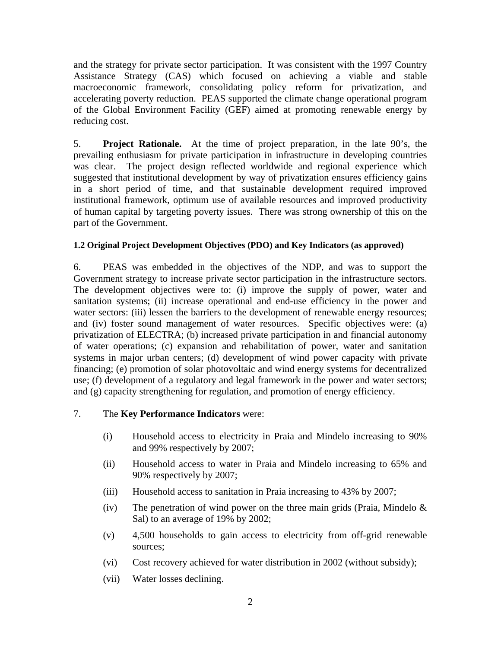and the strategy for private sector participation. It was consistent with the 1997 Country Assistance Strategy (CAS) which focused on achieving a viable and stable macroeconomic framework, consolidating policy reform for privatization, and accelerating poverty reduction. PEAS supported the climate change operational program of the Global Environment Facility (GEF) aimed at promoting renewable energy by reducing cost.

5. **Project Rationale.** At the time of project preparation, in the late 90's, the prevailing enthusiasm for private participation in infrastructure in developing countries was clear. The project design reflected worldwide and regional experience which suggested that institutional development by way of privatization ensures efficiency gains in a short period of time, and that sustainable development required improved institutional framework, optimum use of available resources and improved productivity of human capital by targeting poverty issues. There was strong ownership of this on the part of the Government.

# **1.2 Original Project Development Objectives (PDO) and Key Indicators (as approved)**

6. PEAS was embedded in the objectives of the NDP, and was to support the Government strategy to increase private sector participation in the infrastructure sectors. The development objectives were to: (i) improve the supply of power, water and sanitation systems; (ii) increase operational and end-use efficiency in the power and water sectors: (iii) lessen the barriers to the development of renewable energy resources; and (iv) foster sound management of water resources. Specific objectives were: (a) privatization of ELECTRA; (b) increased private participation in and financial autonomy of water operations; (c) expansion and rehabilitation of power, water and sanitation systems in major urban centers; (d) development of wind power capacity with private financing; (e) promotion of solar photovoltaic and wind energy systems for decentralized use; (f) development of a regulatory and legal framework in the power and water sectors; and (g) capacity strengthening for regulation, and promotion of energy efficiency.

# 7. The **Key Performance Indicators** were:

- (i) Household access to electricity in Praia and Mindelo increasing to 90% and 99% respectively by 2007;
- (ii) Household access to water in Praia and Mindelo increasing to 65% and 90% respectively by 2007;
- (iii) Household access to sanitation in Praia increasing to 43% by 2007;
- (iv) The penetration of wind power on the three main grids (Praia, Mindelo  $\&$ Sal) to an average of 19% by 2002;
- (v) 4,500 households to gain access to electricity from off-grid renewable sources;
- (vi) Cost recovery achieved for water distribution in 2002 (without subsidy);
- (vii) Water losses declining.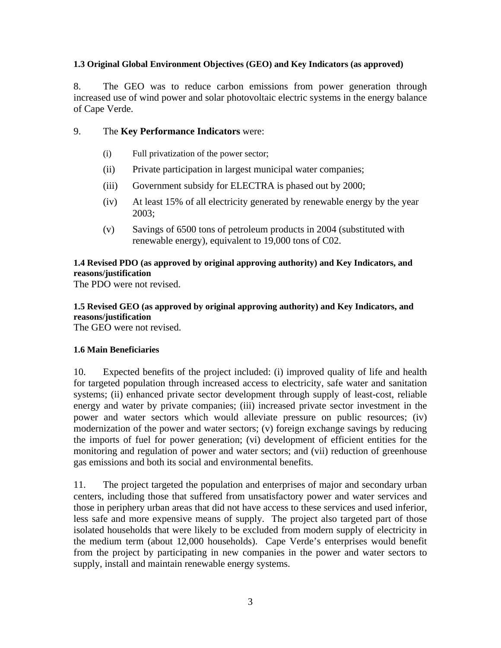#### **1.3 Original Global Environment Objectives (GEO) and Key Indicators (as approved)**

8. The GEO was to reduce carbon emissions from power generation through increased use of wind power and solar photovoltaic electric systems in the energy balance of Cape Verde.

# 9. The **Key Performance Indicators** were:

- (i) Full privatization of the power sector;
- (ii) Private participation in largest municipal water companies;
- (iii) Government subsidy for ELECTRA is phased out by 2000;
- (iv) At least 15% of all electricity generated by renewable energy by the year 2003;
- (v) Savings of 6500 tons of petroleum products in 2004 (substituted with renewable energy), equivalent to 19,000 tons of C02.

# **1.4 Revised PDO (as approved by original approving authority) and Key Indicators, and reasons/justification**

The PDO were not revised.

# **1.5 Revised GEO (as approved by original approving authority) and Key Indicators, and reasons/justification**

The GEO were not revised.

# **1.6 Main Beneficiaries**

10. Expected benefits of the project included: (i) improved quality of life and health for targeted population through increased access to electricity, safe water and sanitation systems; (ii) enhanced private sector development through supply of least-cost, reliable energy and water by private companies; (iii) increased private sector investment in the power and water sectors which would alleviate pressure on public resources; (iv) modernization of the power and water sectors; (v) foreign exchange savings by reducing the imports of fuel for power generation; (vi) development of efficient entities for the monitoring and regulation of power and water sectors; and (vii) reduction of greenhouse gas emissions and both its social and environmental benefits.

11. The project targeted the population and enterprises of major and secondary urban centers, including those that suffered from unsatisfactory power and water services and those in periphery urban areas that did not have access to these services and used inferior, less safe and more expensive means of supply. The project also targeted part of those isolated households that were likely to be excluded from modern supply of electricity in the medium term (about 12,000 households). Cape Verde's enterprises would benefit from the project by participating in new companies in the power and water sectors to supply, install and maintain renewable energy systems.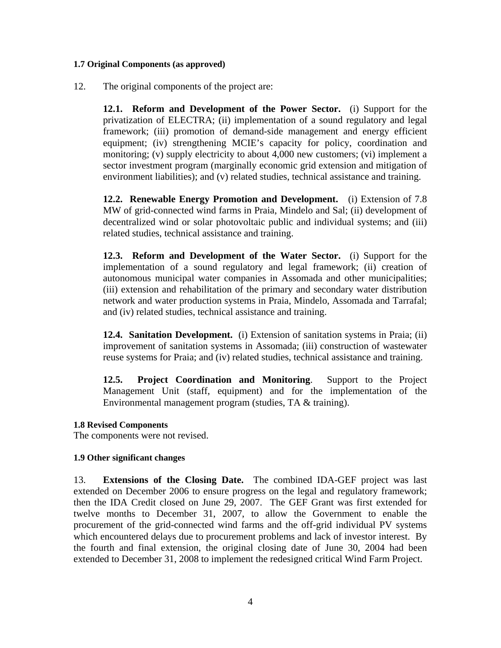#### **1.7 Original Components (as approved)**

12. The original components of the project are:

**12.1. Reform and Development of the Power Sector.** (i) Support for the privatization of ELECTRA; (ii) implementation of a sound regulatory and legal framework; (iii) promotion of demand-side management and energy efficient equipment; (iv) strengthening MCIE's capacity for policy, coordination and monitoring; (v) supply electricity to about 4,000 new customers; (vi) implement a sector investment program (marginally economic grid extension and mitigation of environment liabilities); and (v) related studies, technical assistance and training.

**12.2. Renewable Energy Promotion and Development.** (i) Extension of 7.8 MW of grid-connected wind farms in Praia, Mindelo and Sal; (ii) development of decentralized wind or solar photovoltaic public and individual systems; and (iii) related studies, technical assistance and training.

**12.3. Reform and Development of the Water Sector.** (i) Support for the implementation of a sound regulatory and legal framework; (ii) creation of autonomous municipal water companies in Assomada and other municipalities; (iii) extension and rehabilitation of the primary and secondary water distribution network and water production systems in Praia, Mindelo, Assomada and Tarrafal; and (iv) related studies, technical assistance and training.

**12.4. Sanitation Development.** (i) Extension of sanitation systems in Praia; (ii) improvement of sanitation systems in Assomada; (iii) construction of wastewater reuse systems for Praia; and (iv) related studies, technical assistance and training.

**12.5. Project Coordination and Monitoring**. Support to the Project Management Unit (staff, equipment) and for the implementation of the Environmental management program (studies, TA & training).

#### **1.8 Revised Components**

The components were not revised.

#### **1.9 Other significant changes**

13. **Extensions of the Closing Date.** The combined IDA-GEF project was last extended on December 2006 to ensure progress on the legal and regulatory framework; then the IDA Credit closed on June 29, 2007. The GEF Grant was first extended for twelve months to December 31, 2007, to allow the Government to enable the procurement of the grid-connected wind farms and the off-grid individual PV systems which encountered delays due to procurement problems and lack of investor interest. By the fourth and final extension, the original closing date of June 30, 2004 had been extended to December 31, 2008 to implement the redesigned critical Wind Farm Project.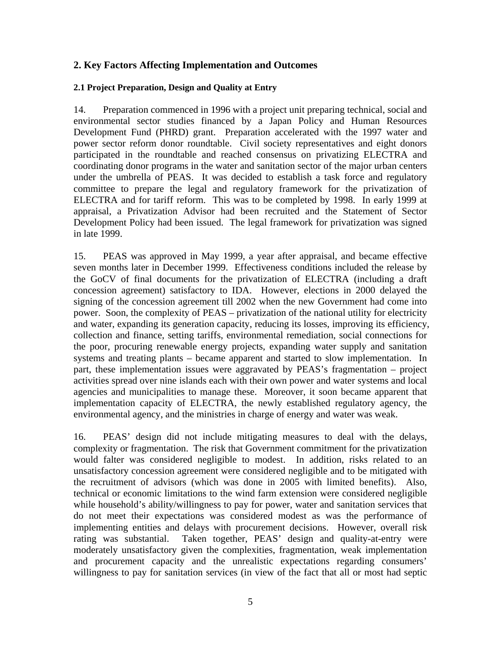# **2. Key Factors Affecting Implementation and Outcomes**

## **2.1 Project Preparation, Design and Quality at Entry**

14. Preparation commenced in 1996 with a project unit preparing technical, social and environmental sector studies financed by a Japan Policy and Human Resources Development Fund (PHRD) grant. Preparation accelerated with the 1997 water and power sector reform donor roundtable. Civil society representatives and eight donors participated in the roundtable and reached consensus on privatizing ELECTRA and coordinating donor programs in the water and sanitation sector of the major urban centers under the umbrella of PEAS. It was decided to establish a task force and regulatory committee to prepare the legal and regulatory framework for the privatization of ELECTRA and for tariff reform. This was to be completed by 1998. In early 1999 at appraisal, a Privatization Advisor had been recruited and the Statement of Sector Development Policy had been issued. The legal framework for privatization was signed in late 1999.

15. PEAS was approved in May 1999, a year after appraisal, and became effective seven months later in December 1999. Effectiveness conditions included the release by the GoCV of final documents for the privatization of ELECTRA (including a draft concession agreement) satisfactory to IDA. However, elections in 2000 delayed the signing of the concession agreement till 2002 when the new Government had come into power. Soon, the complexity of PEAS – privatization of the national utility for electricity and water, expanding its generation capacity, reducing its losses, improving its efficiency, collection and finance, setting tariffs, environmental remediation, social connections for the poor, procuring renewable energy projects, expanding water supply and sanitation systems and treating plants – became apparent and started to slow implementation. In part, these implementation issues were aggravated by PEAS's fragmentation – project activities spread over nine islands each with their own power and water systems and local agencies and municipalities to manage these. Moreover, it soon became apparent that implementation capacity of ELECTRA, the newly established regulatory agency, the environmental agency, and the ministries in charge of energy and water was weak.

16. PEAS' design did not include mitigating measures to deal with the delays, complexity or fragmentation. The risk that Government commitment for the privatization would falter was considered negligible to modest. In addition, risks related to an unsatisfactory concession agreement were considered negligible and to be mitigated with the recruitment of advisors (which was done in 2005 with limited benefits). Also, technical or economic limitations to the wind farm extension were considered negligible while household's ability/willingness to pay for power, water and sanitation services that do not meet their expectations was considered modest as was the performance of implementing entities and delays with procurement decisions. However, overall risk rating was substantial. Taken together, PEAS' design and quality-at-entry were moderately unsatisfactory given the complexities, fragmentation, weak implementation and procurement capacity and the unrealistic expectations regarding consumers' willingness to pay for sanitation services (in view of the fact that all or most had septic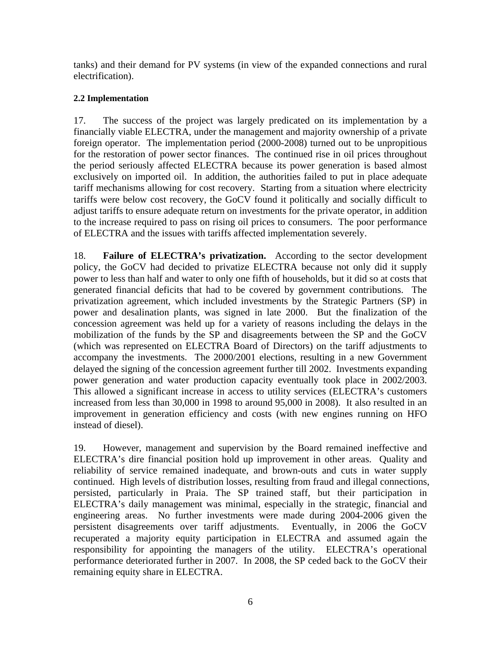tanks) and their demand for PV systems (in view of the expanded connections and rural electrification).

# **2.2 Implementation**

17. The success of the project was largely predicated on its implementation by a financially viable ELECTRA, under the management and majority ownership of a private foreign operator. The implementation period (2000-2008) turned out to be unpropitious for the restoration of power sector finances. The continued rise in oil prices throughout the period seriously affected ELECTRA because its power generation is based almost exclusively on imported oil. In addition, the authorities failed to put in place adequate tariff mechanisms allowing for cost recovery. Starting from a situation where electricity tariffs were below cost recovery, the GoCV found it politically and socially difficult to adjust tariffs to ensure adequate return on investments for the private operator, in addition to the increase required to pass on rising oil prices to consumers. The poor performance of ELECTRA and the issues with tariffs affected implementation severely.

18. **Failure of ELECTRA's privatization.** According to the sector development policy, the GoCV had decided to privatize ELECTRA because not only did it supply power to less than half and water to only one fifth of households, but it did so at costs that generated financial deficits that had to be covered by government contributions. The privatization agreement, which included investments by the Strategic Partners (SP) in power and desalination plants, was signed in late 2000. But the finalization of the concession agreement was held up for a variety of reasons including the delays in the mobilization of the funds by the SP and disagreements between the SP and the GoCV (which was represented on ELECTRA Board of Directors) on the tariff adjustments to accompany the investments. The 2000/2001 elections, resulting in a new Government delayed the signing of the concession agreement further till 2002. Investments expanding power generation and water production capacity eventually took place in 2002/2003. This allowed a significant increase in access to utility services (ELECTRA's customers increased from less than 30,000 in 1998 to around 95,000 in 2008). It also resulted in an improvement in generation efficiency and costs (with new engines running on HFO instead of diesel).

19. However, management and supervision by the Board remained ineffective and ELECTRA's dire financial position hold up improvement in other areas. Quality and reliability of service remained inadequate, and brown-outs and cuts in water supply continued. High levels of distribution losses, resulting from fraud and illegal connections, persisted, particularly in Praia. The SP trained staff, but their participation in ELECTRA's daily management was minimal, especially in the strategic, financial and engineering areas. No further investments were made during 2004-2006 given the persistent disagreements over tariff adjustments. Eventually, in 2006 the GoCV recuperated a majority equity participation in ELECTRA and assumed again the responsibility for appointing the managers of the utility. ELECTRA's operational performance deteriorated further in 2007. In 2008, the SP ceded back to the GoCV their remaining equity share in ELECTRA.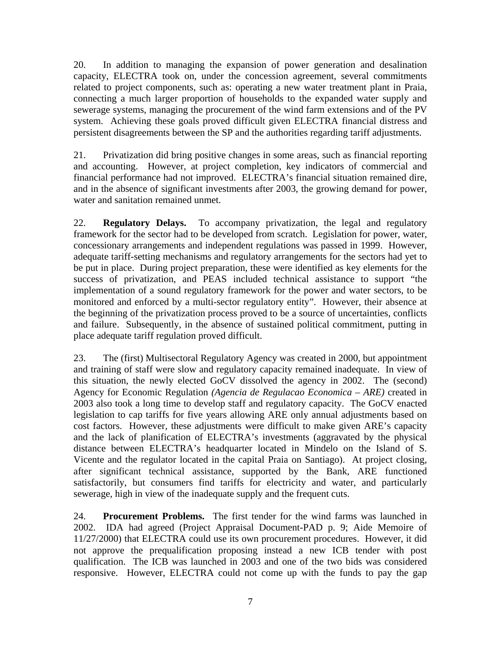20. In addition to managing the expansion of power generation and desalination capacity, ELECTRA took on, under the concession agreement, several commitments related to project components, such as: operating a new water treatment plant in Praia, connecting a much larger proportion of households to the expanded water supply and sewerage systems, managing the procurement of the wind farm extensions and of the PV system. Achieving these goals proved difficult given ELECTRA financial distress and persistent disagreements between the SP and the authorities regarding tariff adjustments.

21. Privatization did bring positive changes in some areas, such as financial reporting and accounting. However, at project completion, key indicators of commercial and financial performance had not improved. ELECTRA's financial situation remained dire, and in the absence of significant investments after 2003, the growing demand for power, water and sanitation remained unmet.

22. **Regulatory Delays.** To accompany privatization, the legal and regulatory framework for the sector had to be developed from scratch. Legislation for power, water, concessionary arrangements and independent regulations was passed in 1999. However, adequate tariff-setting mechanisms and regulatory arrangements for the sectors had yet to be put in place. During project preparation, these were identified as key elements for the success of privatization, and PEAS included technical assistance to support "the implementation of a sound regulatory framework for the power and water sectors, to be monitored and enforced by a multi-sector regulatory entity". However, their absence at the beginning of the privatization process proved to be a source of uncertainties, conflicts and failure. Subsequently, in the absence of sustained political commitment, putting in place adequate tariff regulation proved difficult.

23. The (first) Multisectoral Regulatory Agency was created in 2000, but appointment and training of staff were slow and regulatory capacity remained inadequate. In view of this situation, the newly elected GoCV dissolved the agency in 2002. The (second) Agency for Economic Regulation *(Agencia de Regulacao Economica – ARE)* created in 2003 also took a long time to develop staff and regulatory capacity. The GoCV enacted legislation to cap tariffs for five years allowing ARE only annual adjustments based on cost factors. However, these adjustments were difficult to make given ARE's capacity and the lack of planification of ELECTRA's investments (aggravated by the physical distance between ELECTRA's headquarter located in Mindelo on the Island of S. Vicente and the regulator located in the capital Praia on Santiago). At project closing, after significant technical assistance, supported by the Bank, ARE functioned satisfactorily, but consumers find tariffs for electricity and water, and particularly sewerage, high in view of the inadequate supply and the frequent cuts.

24. **Procurement Problems.** The first tender for the wind farms was launched in 2002. IDA had agreed (Project Appraisal Document-PAD p. 9; Aide Memoire of 11/27/2000) that ELECTRA could use its own procurement procedures. However, it did not approve the prequalification proposing instead a new ICB tender with post qualification. The ICB was launched in 2003 and one of the two bids was considered responsive. However, ELECTRA could not come up with the funds to pay the gap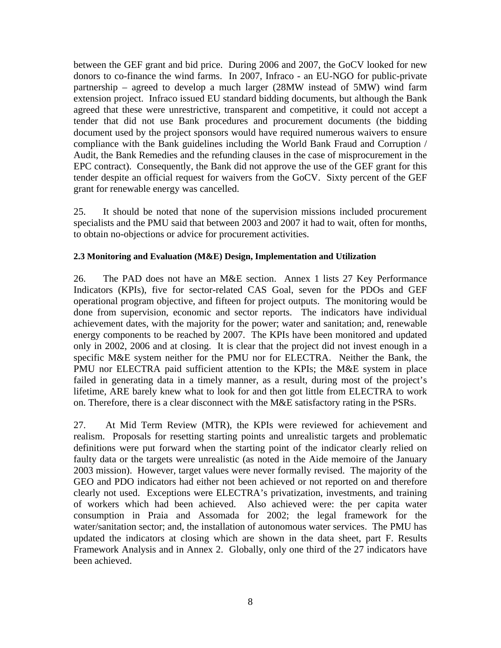between the GEF grant and bid price. During 2006 and 2007, the GoCV looked for new donors to co-finance the wind farms. In 2007, Infraco - an EU-NGO for public-private partnership – agreed to develop a much larger (28MW instead of 5MW) wind farm extension project. Infraco issued EU standard bidding documents, but although the Bank agreed that these were unrestrictive, transparent and competitive, it could not accept a tender that did not use Bank procedures and procurement documents (the bidding document used by the project sponsors would have required numerous waivers to ensure compliance with the Bank guidelines including the World Bank Fraud and Corruption / Audit, the Bank Remedies and the refunding clauses in the case of misprocurement in the EPC contract). Consequently, the Bank did not approve the use of the GEF grant for this tender despite an official request for waivers from the GoCV. Sixty percent of the GEF grant for renewable energy was cancelled.

25. It should be noted that none of the supervision missions included procurement specialists and the PMU said that between 2003 and 2007 it had to wait, often for months, to obtain no-objections or advice for procurement activities.

# **2.3 Monitoring and Evaluation (M&E) Design, Implementation and Utilization**

26. The PAD does not have an M&E section. Annex 1 lists 27 Key Performance Indicators (KPIs), five for sector-related CAS Goal, seven for the PDOs and GEF operational program objective, and fifteen for project outputs. The monitoring would be done from supervision, economic and sector reports. The indicators have individual achievement dates, with the majority for the power; water and sanitation; and, renewable energy components to be reached by 2007. The KPIs have been monitored and updated only in 2002, 2006 and at closing. It is clear that the project did not invest enough in a specific M&E system neither for the PMU nor for ELECTRA. Neither the Bank, the PMU nor ELECTRA paid sufficient attention to the KPIs; the M&E system in place failed in generating data in a timely manner, as a result, during most of the project's lifetime, ARE barely knew what to look for and then got little from ELECTRA to work on. Therefore, there is a clear disconnect with the M&E satisfactory rating in the PSRs.

27. At Mid Term Review (MTR), the KPIs were reviewed for achievement and realism. Proposals for resetting starting points and unrealistic targets and problematic definitions were put forward when the starting point of the indicator clearly relied on faulty data or the targets were unrealistic (as noted in the Aide memoire of the January 2003 mission). However, target values were never formally revised. The majority of the GEO and PDO indicators had either not been achieved or not reported on and therefore clearly not used. Exceptions were ELECTRA's privatization, investments, and training of workers which had been achieved. Also achieved were: the per capita water consumption in Praia and Assomada for 2002; the legal framework for the water/sanitation sector; and, the installation of autonomous water services. The PMU has updated the indicators at closing which are shown in the data sheet, part F. Results Framework Analysis and in Annex 2. Globally, only one third of the 27 indicators have been achieved.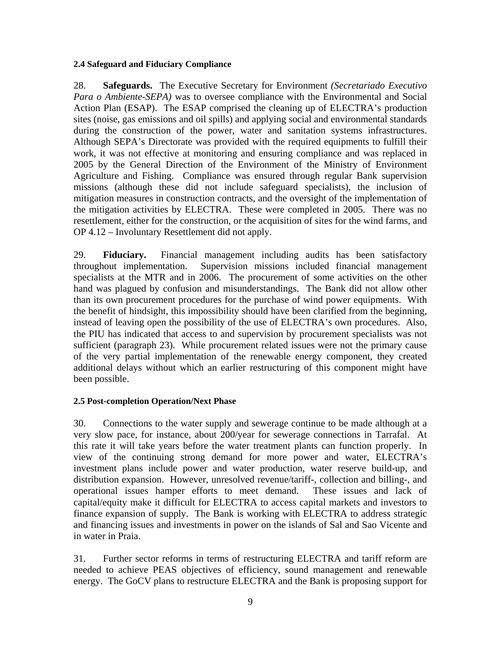#### **2.4 Safeguard and Fiduciary Compliance**

28. **Safeguards.** The Executive Secretary for Environment *(Secretariado Executivo Para o Ambiente-SEPA*) was to oversee compliance with the Environmental and Social Action Plan (ESAP). The ESAP comprised the cleaning up of ELECTRA's production sites (noise, gas emissions and oil spills) and applying social and environmental standards during the construction of the power, water and sanitation systems infrastructures. Although SEPA's Directorate was provided with the required equipments to fulfill their work, it was not effective at monitoring and ensuring compliance and was replaced in 2005 by the General Direction of the Environment of the Ministry of Environment Agriculture and Fishing. Compliance was ensured through regular Bank supervision missions (although these did not include safeguard specialists), the inclusion of mitigation measures in construction contracts, and the oversight of the implementation of the mitigation activities by ELECTRA. These were completed in 2005. There was no resettlement, either for the construction, or the acquisition of sites for the wind farms, and OP 4.12 – Involuntary Resettlement did not apply.

29. **Fiduciary.** Financial management including audits has been satisfactory throughout implementation. Supervision missions included financial management specialists at the MTR and in 2006. The procurement of some activities on the other hand was plagued by confusion and misunderstandings. The Bank did not allow other than its own procurement procedures for the purchase of wind power equipments. With the benefit of hindsight, this impossibility should have been clarified from the beginning, instead of leaving open the possibility of the use of ELECTRA's own procedures. Also, the PIU has indicated that access to and supervision by procurement specialists was not sufficient (paragraph 23). While procurement related issues were not the primary cause of the very partial implementation of the renewable energy component, they created additional delays without which an earlier restructuring of this component might have been possible.

# **2.5 Post-completion Operation/Next Phase**

30. Connections to the water supply and sewerage continue to be made although at a very slow pace, for instance, about 200/year for sewerage connections in Tarrafal. At this rate it will take years before the water treatment plants can function properly. In view of the continuing strong demand for more power and water, ELECTRA's investment plans include power and water production, water reserve build-up, and distribution expansion. However, unresolved revenue/tariff-, collection and billing-, and operational issues hamper efforts to meet demand. These issues and lack of capital/equity make it difficult for ELECTRA to access capital markets and investors to finance expansion of supply. The Bank is working with ELECTRA to address strategic and financing issues and investments in power on the islands of Sal and Sao Vicente and in water in Praia.

31. Further sector reforms in terms of restructuring ELECTRA and tariff reform are needed to achieve PEAS objectives of efficiency, sound management and renewable energy. The GoCV plans to restructure ELECTRA and the Bank is proposing support for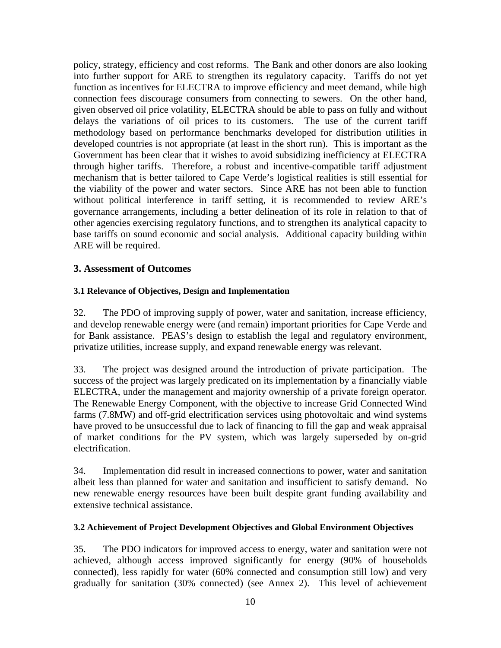policy, strategy, efficiency and cost reforms. The Bank and other donors are also looking into further support for ARE to strengthen its regulatory capacity. Tariffs do not yet function as incentives for ELECTRA to improve efficiency and meet demand, while high connection fees discourage consumers from connecting to sewers. On the other hand, given observed oil price volatility, ELECTRA should be able to pass on fully and without delays the variations of oil prices to its customers. The use of the current tariff methodology based on performance benchmarks developed for distribution utilities in developed countries is not appropriate (at least in the short run). This is important as the Government has been clear that it wishes to avoid subsidizing inefficiency at ELECTRA through higher tariffs. Therefore, a robust and incentive-compatible tariff adjustment mechanism that is better tailored to Cape Verde's logistical realities is still essential for the viability of the power and water sectors. Since ARE has not been able to function without political interference in tariff setting, it is recommended to review ARE's governance arrangements, including a better delineation of its role in relation to that of other agencies exercising regulatory functions, and to strengthen its analytical capacity to base tariffs on sound economic and social analysis. Additional capacity building within ARE will be required.

# **3. Assessment of Outcomes**

# **3.1 Relevance of Objectives, Design and Implementation**

32. The PDO of improving supply of power, water and sanitation, increase efficiency, and develop renewable energy were (and remain) important priorities for Cape Verde and for Bank assistance. PEAS's design to establish the legal and regulatory environment, privatize utilities, increase supply, and expand renewable energy was relevant.

33. The project was designed around the introduction of private participation. The success of the project was largely predicated on its implementation by a financially viable ELECTRA, under the management and majority ownership of a private foreign operator. The Renewable Energy Component, with the objective to increase Grid Connected Wind farms (7.8MW) and off-grid electrification services using photovoltaic and wind systems have proved to be unsuccessful due to lack of financing to fill the gap and weak appraisal of market conditions for the PV system, which was largely superseded by on-grid electrification.

34. Implementation did result in increased connections to power, water and sanitation albeit less than planned for water and sanitation and insufficient to satisfy demand. No new renewable energy resources have been built despite grant funding availability and extensive technical assistance.

# **3.2 Achievement of Project Development Objectives and Global Environment Objectives**

35. The PDO indicators for improved access to energy, water and sanitation were not achieved, although access improved significantly for energy (90% of households connected), less rapidly for water (60% connected and consumption still low) and very gradually for sanitation (30% connected) (see Annex 2). This level of achievement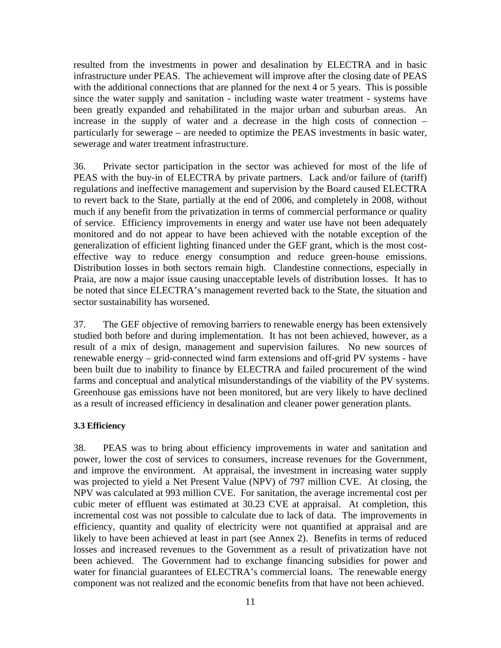resulted from the investments in power and desalination by ELECTRA and in basic infrastructure under PEAS. The achievement will improve after the closing date of PEAS with the additional connections that are planned for the next 4 or 5 years. This is possible since the water supply and sanitation - including waste water treatment - systems have been greatly expanded and rehabilitated in the major urban and suburban areas. An increase in the supply of water and a decrease in the high costs of connection – particularly for sewerage – are needed to optimize the PEAS investments in basic water, sewerage and water treatment infrastructure.

36. Private sector participation in the sector was achieved for most of the life of PEAS with the buy-in of ELECTRA by private partners. Lack and/or failure of (tariff) regulations and ineffective management and supervision by the Board caused ELECTRA to revert back to the State, partially at the end of 2006, and completely in 2008, without much if any benefit from the privatization in terms of commercial performance or quality of service. Efficiency improvements in energy and water use have not been adequately monitored and do not appear to have been achieved with the notable exception of the generalization of efficient lighting financed under the GEF grant, which is the most costeffective way to reduce energy consumption and reduce green-house emissions. Distribution losses in both sectors remain high. Clandestine connections, especially in Praia, are now a major issue causing unacceptable levels of distribution losses. It has to be noted that since ELECTRA's management reverted back to the State, the situation and sector sustainability has worsened.

37. The GEF objective of removing barriers to renewable energy has been extensively studied both before and during implementation. It has not been achieved, however, as a result of a mix of design, management and supervision failures. No new sources of renewable energy – grid-connected wind farm extensions and off-grid PV systems - have been built due to inability to finance by ELECTRA and failed procurement of the wind farms and conceptual and analytical misunderstandings of the viability of the PV systems. Greenhouse gas emissions have not been monitored, but are very likely to have declined as a result of increased efficiency in desalination and cleaner power generation plants.

# **3.3 Efficiency**

38. PEAS was to bring about efficiency improvements in water and sanitation and power, lower the cost of services to consumers, increase revenues for the Government, and improve the environment. At appraisal, the investment in increasing water supply was projected to yield a Net Present Value (NPV) of 797 million CVE. At closing, the NPV was calculated at 993 million CVE. For sanitation, the average incremental cost per cubic meter of effluent was estimated at 30.23 CVE at appraisal. At completion, this incremental cost was not possible to calculate due to lack of data. The improvements in efficiency, quantity and quality of electricity were not quantified at appraisal and are likely to have been achieved at least in part (see Annex 2). Benefits in terms of reduced losses and increased revenues to the Government as a result of privatization have not been achieved. The Government had to exchange financing subsidies for power and water for financial guarantees of ELECTRA's commercial loans. The renewable energy component was not realized and the economic benefits from that have not been achieved.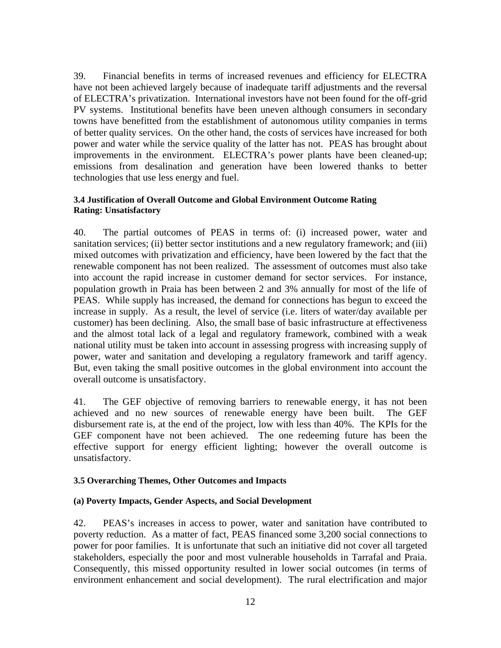39. Financial benefits in terms of increased revenues and efficiency for ELECTRA have not been achieved largely because of inadequate tariff adjustments and the reversal of ELECTRA's privatization. International investors have not been found for the off-grid PV systems. Institutional benefits have been uneven although consumers in secondary towns have benefitted from the establishment of autonomous utility companies in terms of better quality services. On the other hand, the costs of services have increased for both power and water while the service quality of the latter has not. PEAS has brought about improvements in the environment. ELECTRA's power plants have been cleaned-up; emissions from desalination and generation have been lowered thanks to better technologies that use less energy and fuel.

## **3.4 Justification of Overall Outcome and Global Environment Outcome Rating Rating: Unsatisfactory**

40. The partial outcomes of PEAS in terms of: (i) increased power, water and sanitation services; (ii) better sector institutions and a new regulatory framework; and (iii) mixed outcomes with privatization and efficiency, have been lowered by the fact that the renewable component has not been realized. The assessment of outcomes must also take into account the rapid increase in customer demand for sector services. For instance, population growth in Praia has been between 2 and 3% annually for most of the life of PEAS. While supply has increased, the demand for connections has begun to exceed the increase in supply. As a result, the level of service (i.e. liters of water/day available per customer) has been declining. Also, the small base of basic infrastructure at effectiveness and the almost total lack of a legal and regulatory framework, combined with a weak national utility must be taken into account in assessing progress with increasing supply of power, water and sanitation and developing a regulatory framework and tariff agency. But, even taking the small positive outcomes in the global environment into account the overall outcome is unsatisfactory.

41. The GEF objective of removing barriers to renewable energy, it has not been achieved and no new sources of renewable energy have been built. The GEF disbursement rate is, at the end of the project, low with less than 40%. The KPIs for the GEF component have not been achieved. The one redeeming future has been the effective support for energy efficient lighting; however the overall outcome is unsatisfactory.

# **3.5 Overarching Themes, Other Outcomes and Impacts**

#### **(a) Poverty Impacts, Gender Aspects, and Social Development**

42. PEAS's increases in access to power, water and sanitation have contributed to poverty reduction. As a matter of fact, PEAS financed some 3,200 social connections to power for poor families. It is unfortunate that such an initiative did not cover all targeted stakeholders, especially the poor and most vulnerable households in Tarrafal and Praia. Consequently, this missed opportunity resulted in lower social outcomes (in terms of environment enhancement and social development). The rural electrification and major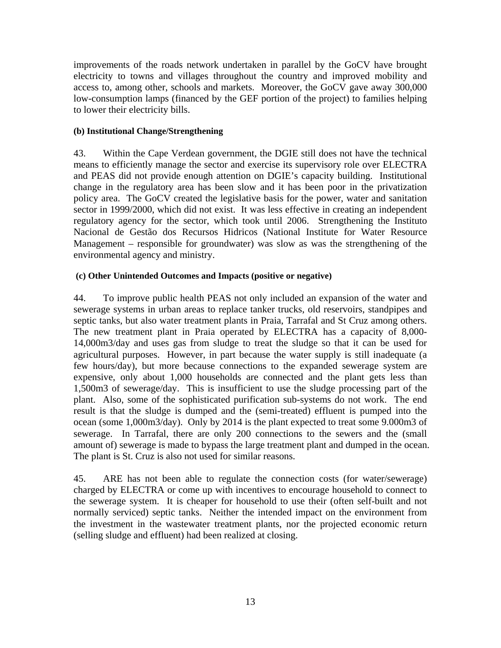improvements of the roads network undertaken in parallel by the GoCV have brought electricity to towns and villages throughout the country and improved mobility and access to, among other, schools and markets. Moreover, the GoCV gave away 300,000 low-consumption lamps (financed by the GEF portion of the project) to families helping to lower their electricity bills.

# **(b) Institutional Change/Strengthening**

43. Within the Cape Verdean government, the DGIE still does not have the technical means to efficiently manage the sector and exercise its supervisory role over ELECTRA and PEAS did not provide enough attention on DGIE's capacity building. Institutional change in the regulatory area has been slow and it has been poor in the privatization policy area. The GoCV created the legislative basis for the power, water and sanitation sector in 1999/2000, which did not exist. It was less effective in creating an independent regulatory agency for the sector, which took until 2006. Strengthening the Instituto Nacional de Gestão dos Recursos Hidricos (National Institute for Water Resource Management – responsible for groundwater) was slow as was the strengthening of the environmental agency and ministry.

# **(c) Other Unintended Outcomes and Impacts (positive or negative)**

44. To improve public health PEAS not only included an expansion of the water and sewerage systems in urban areas to replace tanker trucks, old reservoirs, standpipes and septic tanks, but also water treatment plants in Praia, Tarrafal and St Cruz among others. The new treatment plant in Praia operated by ELECTRA has a capacity of 8,000- 14,000m3/day and uses gas from sludge to treat the sludge so that it can be used for agricultural purposes. However, in part because the water supply is still inadequate (a few hours/day), but more because connections to the expanded sewerage system are expensive, only about 1,000 households are connected and the plant gets less than 1,500m3 of sewerage/day. This is insufficient to use the sludge processing part of the plant. Also, some of the sophisticated purification sub-systems do not work. The end result is that the sludge is dumped and the (semi-treated) effluent is pumped into the ocean (some 1,000m3/day). Only by 2014 is the plant expected to treat some 9.000m3 of sewerage. In Tarrafal, there are only 200 connections to the sewers and the (small amount of) sewerage is made to bypass the large treatment plant and dumped in the ocean. The plant is St. Cruz is also not used for similar reasons.

45. ARE has not been able to regulate the connection costs (for water/sewerage) charged by ELECTRA or come up with incentives to encourage household to connect to the sewerage system. It is cheaper for household to use their (often self-built and not normally serviced) septic tanks. Neither the intended impact on the environment from the investment in the wastewater treatment plants, nor the projected economic return (selling sludge and effluent) had been realized at closing.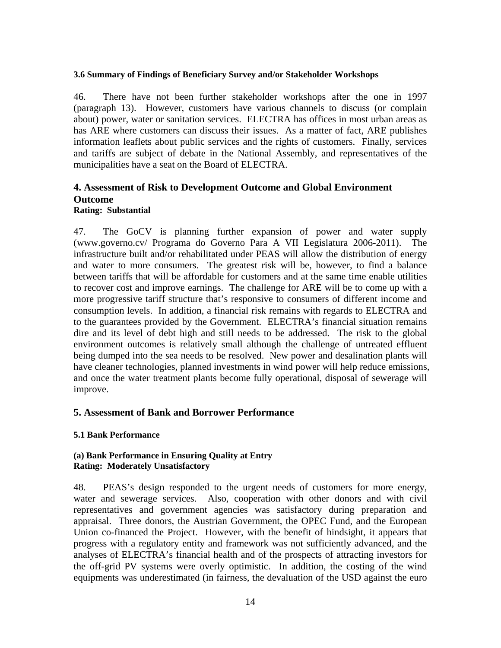#### **3.6 Summary of Findings of Beneficiary Survey and/or Stakeholder Workshops**

46. There have not been further stakeholder workshops after the one in 1997 (paragraph 13). However, customers have various channels to discuss (or complain about) power, water or sanitation services. ELECTRA has offices in most urban areas as has ARE where customers can discuss their issues. As a matter of fact, ARE publishes information leaflets about public services and the rights of customers. Finally, services and tariffs are subject of debate in the National Assembly, and representatives of the municipalities have a seat on the Board of ELECTRA.

# **4. Assessment of Risk to Development Outcome and Global Environment Outcome**

#### **Rating: Substantial**

47. The GoCV is planning further expansion of power and water supply (www.governo.cv/ Programa do Governo Para A VII Legislatura 2006-2011). The infrastructure built and/or rehabilitated under PEAS will allow the distribution of energy and water to more consumers. The greatest risk will be, however, to find a balance between tariffs that will be affordable for customers and at the same time enable utilities to recover cost and improve earnings. The challenge for ARE will be to come up with a more progressive tariff structure that's responsive to consumers of different income and consumption levels. In addition, a financial risk remains with regards to ELECTRA and to the guarantees provided by the Government. ELECTRA's financial situation remains dire and its level of debt high and still needs to be addressed. The risk to the global environment outcomes is relatively small although the challenge of untreated effluent being dumped into the sea needs to be resolved. New power and desalination plants will have cleaner technologies, planned investments in wind power will help reduce emissions, and once the water treatment plants become fully operational, disposal of sewerage will improve.

# **5. Assessment of Bank and Borrower Performance**

# **5.1 Bank Performance**

#### **(a) Bank Performance in Ensuring Quality at Entry Rating: Moderately Unsatisfactory**

48. PEAS's design responded to the urgent needs of customers for more energy, water and sewerage services. Also, cooperation with other donors and with civil representatives and government agencies was satisfactory during preparation and appraisal. Three donors, the Austrian Government, the OPEC Fund, and the European Union co-financed the Project. However, with the benefit of hindsight, it appears that progress with a regulatory entity and framework was not sufficiently advanced, and the analyses of ELECTRA's financial health and of the prospects of attracting investors for the off-grid PV systems were overly optimistic. In addition, the costing of the wind equipments was underestimated (in fairness, the devaluation of the USD against the euro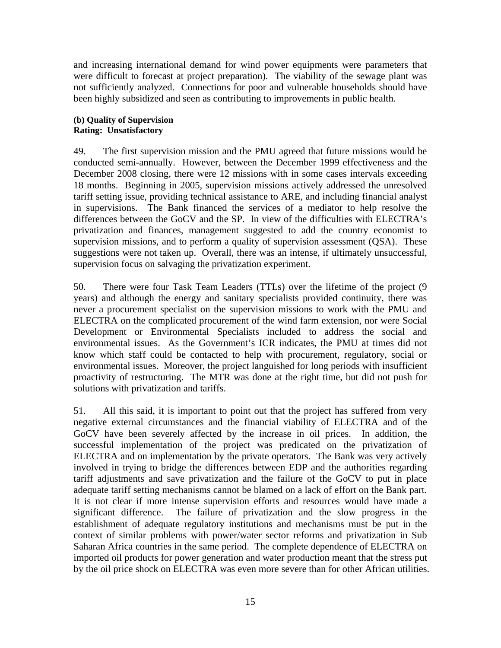and increasing international demand for wind power equipments were parameters that were difficult to forecast at project preparation). The viability of the sewage plant was not sufficiently analyzed. Connections for poor and vulnerable households should have been highly subsidized and seen as contributing to improvements in public health.

## **(b) Quality of Supervision Rating: Unsatisfactory**

49. The first supervision mission and the PMU agreed that future missions would be conducted semi-annually. However, between the December 1999 effectiveness and the December 2008 closing, there were 12 missions with in some cases intervals exceeding 18 months. Beginning in 2005, supervision missions actively addressed the unresolved tariff setting issue, providing technical assistance to ARE, and including financial analyst in supervisions. The Bank financed the services of a mediator to help resolve the differences between the GoCV and the SP. In view of the difficulties with ELECTRA's privatization and finances, management suggested to add the country economist to supervision missions, and to perform a quality of supervision assessment (QSA). These suggestions were not taken up. Overall, there was an intense, if ultimately unsuccessful, supervision focus on salvaging the privatization experiment.

50. There were four Task Team Leaders (TTLs) over the lifetime of the project (9 years) and although the energy and sanitary specialists provided continuity, there was never a procurement specialist on the supervision missions to work with the PMU and ELECTRA on the complicated procurement of the wind farm extension, nor were Social Development or Environmental Specialists included to address the social and environmental issues. As the Government's ICR indicates, the PMU at times did not know which staff could be contacted to help with procurement, regulatory, social or environmental issues. Moreover, the project languished for long periods with insufficient proactivity of restructuring. The MTR was done at the right time, but did not push for solutions with privatization and tariffs.

51. All this said, it is important to point out that the project has suffered from very negative external circumstances and the financial viability of ELECTRA and of the GoCV have been severely affected by the increase in oil prices. In addition, the successful implementation of the project was predicated on the privatization of ELECTRA and on implementation by the private operators. The Bank was very actively involved in trying to bridge the differences between EDP and the authorities regarding tariff adjustments and save privatization and the failure of the GoCV to put in place adequate tariff setting mechanisms cannot be blamed on a lack of effort on the Bank part. It is not clear if more intense supervision efforts and resources would have made a significant difference. The failure of privatization and the slow progress in the establishment of adequate regulatory institutions and mechanisms must be put in the context of similar problems with power/water sector reforms and privatization in Sub Saharan Africa countries in the same period. The complete dependence of ELECTRA on imported oil products for power generation and water production meant that the stress put by the oil price shock on ELECTRA was even more severe than for other African utilities.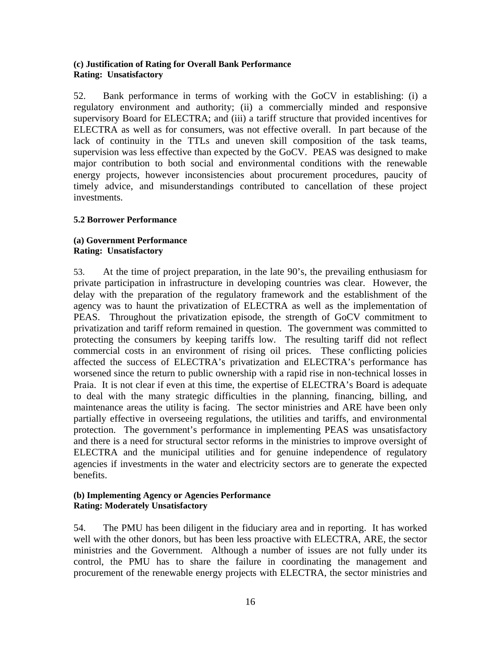#### **(c) Justification of Rating for Overall Bank Performance Rating: Unsatisfactory**

52. Bank performance in terms of working with the GoCV in establishing: (i) a regulatory environment and authority; (ii) a commercially minded and responsive supervisory Board for ELECTRA; and (iii) a tariff structure that provided incentives for ELECTRA as well as for consumers, was not effective overall. In part because of the lack of continuity in the TTLs and uneven skill composition of the task teams, supervision was less effective than expected by the GoCV. PEAS was designed to make major contribution to both social and environmental conditions with the renewable energy projects, however inconsistencies about procurement procedures, paucity of timely advice, and misunderstandings contributed to cancellation of these project investments.

# **5.2 Borrower Performance**

#### **(a) Government Performance Rating: Unsatisfactory**

53. At the time of project preparation, in the late 90's, the prevailing enthusiasm for private participation in infrastructure in developing countries was clear. However, the delay with the preparation of the regulatory framework and the establishment of the agency was to haunt the privatization of ELECTRA as well as the implementation of PEAS. Throughout the privatization episode, the strength of GoCV commitment to privatization and tariff reform remained in question. The government was committed to protecting the consumers by keeping tariffs low. The resulting tariff did not reflect commercial costs in an environment of rising oil prices. These conflicting policies affected the success of ELECTRA's privatization and ELECTRA's performance has worsened since the return to public ownership with a rapid rise in non-technical losses in Praia. It is not clear if even at this time, the expertise of ELECTRA's Board is adequate to deal with the many strategic difficulties in the planning, financing, billing, and maintenance areas the utility is facing. The sector ministries and ARE have been only partially effective in overseeing regulations, the utilities and tariffs, and environmental protection. The government's performance in implementing PEAS was unsatisfactory and there is a need for structural sector reforms in the ministries to improve oversight of ELECTRA and the municipal utilities and for genuine independence of regulatory agencies if investments in the water and electricity sectors are to generate the expected benefits.

# **(b) Implementing Agency or Agencies Performance Rating: Moderately Unsatisfactory**

54. The PMU has been diligent in the fiduciary area and in reporting. It has worked well with the other donors, but has been less proactive with ELECTRA, ARE, the sector ministries and the Government. Although a number of issues are not fully under its control, the PMU has to share the failure in coordinating the management and procurement of the renewable energy projects with ELECTRA, the sector ministries and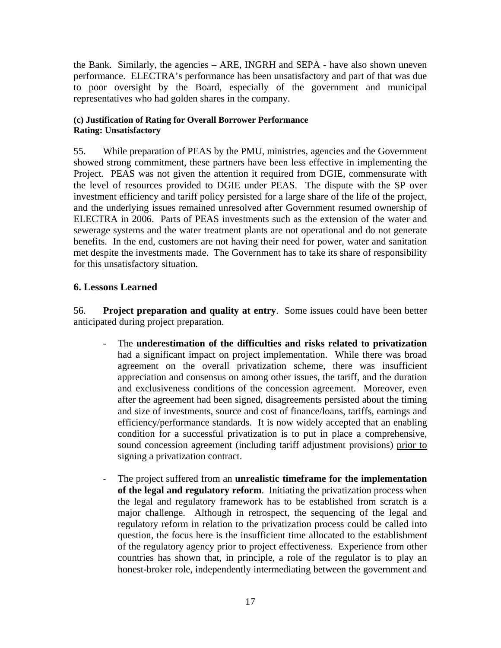the Bank. Similarly, the agencies – ARE, INGRH and SEPA - have also shown uneven performance. ELECTRA's performance has been unsatisfactory and part of that was due to poor oversight by the Board, especially of the government and municipal representatives who had golden shares in the company.

# **(c) Justification of Rating for Overall Borrower Performance Rating: Unsatisfactory**

55. While preparation of PEAS by the PMU, ministries, agencies and the Government showed strong commitment, these partners have been less effective in implementing the Project. PEAS was not given the attention it required from DGIE, commensurate with the level of resources provided to DGIE under PEAS. The dispute with the SP over investment efficiency and tariff policy persisted for a large share of the life of the project, and the underlying issues remained unresolved after Government resumed ownership of ELECTRA in 2006. Parts of PEAS investments such as the extension of the water and sewerage systems and the water treatment plants are not operational and do not generate benefits. In the end, customers are not having their need for power, water and sanitation met despite the investments made. The Government has to take its share of responsibility for this unsatisfactory situation.

# **6. Lessons Learned**

56. **Project preparation and quality at entry**. Some issues could have been better anticipated during project preparation.

- The **underestimation of the difficulties and risks related to privatization** had a significant impact on project implementation. While there was broad agreement on the overall privatization scheme, there was insufficient appreciation and consensus on among other issues, the tariff, and the duration and exclusiveness conditions of the concession agreement. Moreover, even after the agreement had been signed, disagreements persisted about the timing and size of investments, source and cost of finance/loans, tariffs, earnings and efficiency/performance standards. It is now widely accepted that an enabling condition for a successful privatization is to put in place a comprehensive, sound concession agreement (including tariff adjustment provisions) prior to signing a privatization contract.
- The project suffered from an **unrealistic timeframe for the implementation of the legal and regulatory reform**. Initiating the privatization process when the legal and regulatory framework has to be established from scratch is a major challenge. Although in retrospect, the sequencing of the legal and regulatory reform in relation to the privatization process could be called into question, the focus here is the insufficient time allocated to the establishment of the regulatory agency prior to project effectiveness. Experience from other countries has shown that, in principle, a role of the regulator is to play an honest-broker role, independently intermediating between the government and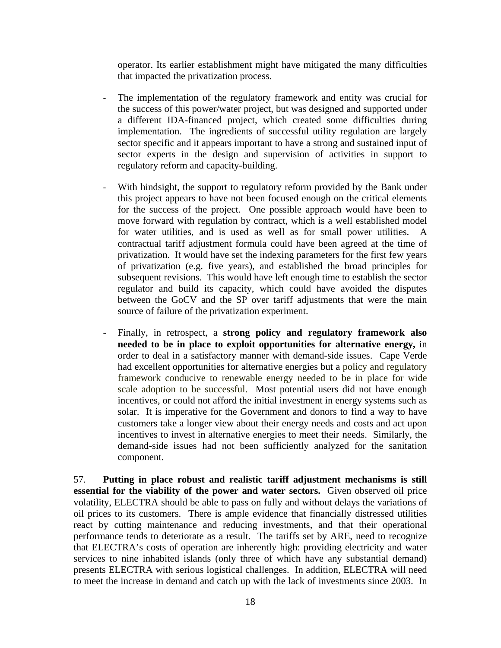operator. Its earlier establishment might have mitigated the many difficulties that impacted the privatization process.

- The implementation of the regulatory framework and entity was crucial for the success of this power/water project, but was designed and supported under a different IDA-financed project, which created some difficulties during implementation. The ingredients of successful utility regulation are largely sector specific and it appears important to have a strong and sustained input of sector experts in the design and supervision of activities in support to regulatory reform and capacity-building.
- With hindsight, the support to regulatory reform provided by the Bank under this project appears to have not been focused enough on the critical elements for the success of the project. One possible approach would have been to move forward with regulation by contract, which is a well established model for water utilities, and is used as well as for small power utilities. A contractual tariff adjustment formula could have been agreed at the time of privatization. It would have set the indexing parameters for the first few years of privatization (e.g. five years), and established the broad principles for subsequent revisions. This would have left enough time to establish the sector regulator and build its capacity, which could have avoided the disputes between the GoCV and the SP over tariff adjustments that were the main source of failure of the privatization experiment.
- Finally, in retrospect, a **strong policy and regulatory framework also needed to be in place to exploit opportunities for alternative energy,** in order to deal in a satisfactory manner with demand-side issues.Cape Verde had excellent opportunities for alternative energies but a policy and regulatory framework conducive to renewable energy needed to be in place for wide scale adoption to be successful. Most potential users did not have enough incentives, or could not afford the initial investment in energy systems such as solar. It is imperative for the Government and donors to find a way to have customers take a longer view about their energy needs and costs and act upon incentives to invest in alternative energies to meet their needs. Similarly, the demand-side issues had not been sufficiently analyzed for the sanitation component.

57. **Putting in place robust and realistic tariff adjustment mechanisms is still essential for the viability of the power and water sectors.** Given observed oil price volatility, ELECTRA should be able to pass on fully and without delays the variations of oil prices to its customers. There is ample evidence that financially distressed utilities react by cutting maintenance and reducing investments, and that their operational performance tends to deteriorate as a result. The tariffs set by ARE, need to recognize that ELECTRA's costs of operation are inherently high: providing electricity and water services to nine inhabited islands (only three of which have any substantial demand) presents ELECTRA with serious logistical challenges. In addition, ELECTRA will need to meet the increase in demand and catch up with the lack of investments since 2003. In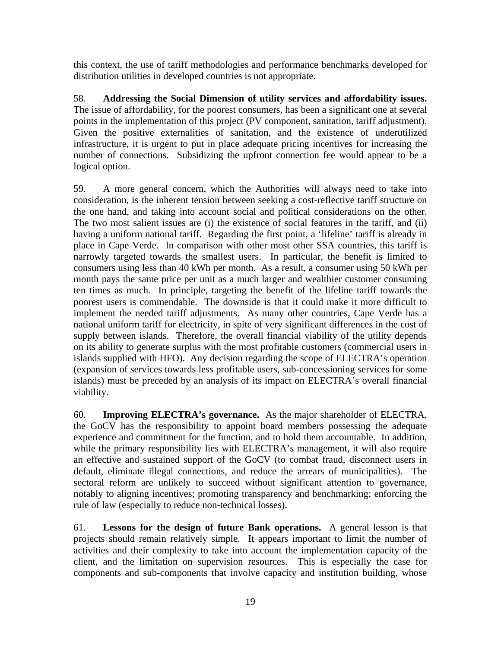this context, the use of tariff methodologies and performance benchmarks developed for distribution utilities in developed countries is not appropriate.

58. **Addressing the Social Dimension of utility services and affordability issues.** The issue of affordability, for the poorest consumers, has been a significant one at several points in the implementation of this project (PV component, sanitation, tariff adjustment). Given the positive externalities of sanitation, and the existence of underutilized infrastructure, it is urgent to put in place adequate pricing incentives for increasing the number of connections. Subsidizing the upfront connection fee would appear to be a logical option.

59. A more general concern, which the Authorities will always need to take into consideration, is the inherent tension between seeking a cost-reflective tariff structure on the one hand, and taking into account social and political considerations on the other. The two most salient issues are (i) the existence of social features in the tariff, and (ii) having a uniform national tariff. Regarding the first point, a 'lifeline' tariff is already in place in Cape Verde. In comparison with other most other SSA countries, this tariff is narrowly targeted towards the smallest users. In particular, the benefit is limited to consumers using less than 40 kWh per month. As a result, a consumer using 50 kWh per month pays the same price per unit as a much larger and wealthier customer consuming ten times as much. In principle, targeting the benefit of the lifeline tariff towards the poorest users is commendable. The downside is that it could make it more difficult to implement the needed tariff adjustments. As many other countries, Cape Verde has a national uniform tariff for electricity, in spite of very significant differences in the cost of supply between islands. Therefore, the overall financial viability of the utility depends on its ability to generate surplus with the most profitable customers (commercial users in islands supplied with HFO). Any decision regarding the scope of ELECTRA's operation (expansion of services towards less profitable users, sub-concessioning services for some islands) must be preceded by an analysis of its impact on ELECTRA's overall financial viability.

60. **Improving ELECTRA's governance.** As the major shareholder of ELECTRA, the GoCV has the responsibility to appoint board members possessing the adequate experience and commitment for the function, and to hold them accountable. In addition, while the primary responsibility lies with ELECTRA's management, it will also require an effective and sustained support of the GoCV (to combat fraud, disconnect users in default, eliminate illegal connections, and reduce the arrears of municipalities). The sectoral reform are unlikely to succeed without significant attention to governance, notably to aligning incentives; promoting transparency and benchmarking; enforcing the rule of law (especially to reduce non-technical losses).

61. **Lessons for the design of future Bank operations.** A general lesson is that projects should remain relatively simple. It appears important to limit the number of activities and their complexity to take into account the implementation capacity of the client, and the limitation on supervision resources. This is especially the case for components and sub-components that involve capacity and institution building, whose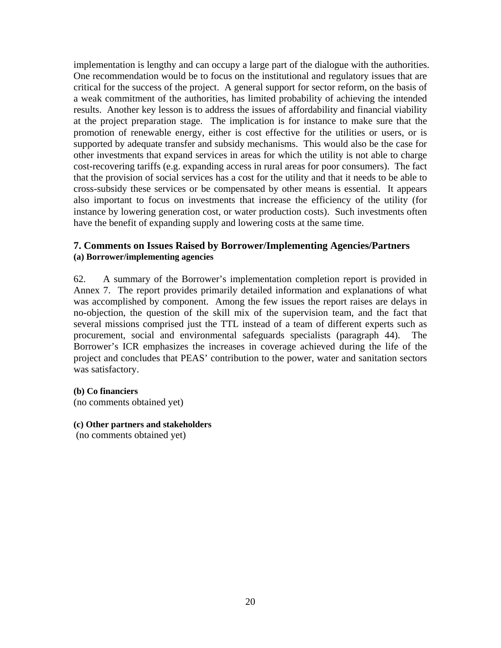implementation is lengthy and can occupy a large part of the dialogue with the authorities. One recommendation would be to focus on the institutional and regulatory issues that are critical for the success of the project. A general support for sector reform, on the basis of a weak commitment of the authorities, has limited probability of achieving the intended results. Another key lesson is to address the issues of affordability and financial viability at the project preparation stage. The implication is for instance to make sure that the promotion of renewable energy, either is cost effective for the utilities or users, or is supported by adequate transfer and subsidy mechanisms. This would also be the case for other investments that expand services in areas for which the utility is not able to charge cost-recovering tariffs (e.g. expanding access in rural areas for poor consumers). The fact that the provision of social services has a cost for the utility and that it needs to be able to cross-subsidy these services or be compensated by other means is essential. It appears also important to focus on investments that increase the efficiency of the utility (for instance by lowering generation cost, or water production costs). Such investments often have the benefit of expanding supply and lowering costs at the same time.

## **7. Comments on Issues Raised by Borrower/Implementing Agencies/Partners (a) Borrower/implementing agencies**

62. A summary of the Borrower's implementation completion report is provided in Annex 7. The report provides primarily detailed information and explanations of what was accomplished by component. Among the few issues the report raises are delays in no-objection, the question of the skill mix of the supervision team, and the fact that several missions comprised just the TTL instead of a team of different experts such as procurement, social and environmental safeguards specialists (paragraph 44). The Borrower's ICR emphasizes the increases in coverage achieved during the life of the project and concludes that PEAS' contribution to the power, water and sanitation sectors was satisfactory.

#### **(b) Co financiers**

(no comments obtained yet)

#### **(c) Other partners and stakeholders**

(no comments obtained yet)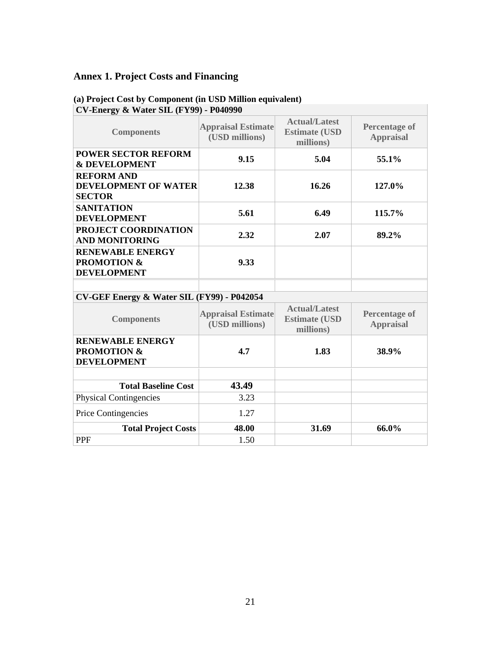# **Annex 1. Project Costs and Financing**

| <b>CV-Energy &amp; Water SIL (FY99) - P040990</b>                       |                                             |                                                           |                                          |
|-------------------------------------------------------------------------|---------------------------------------------|-----------------------------------------------------------|------------------------------------------|
| <b>Components</b>                                                       | <b>Appraisal Estimate</b><br>(USD millions) | <b>Actual/Latest</b><br><b>Estimate (USD</b><br>millions) | <b>Percentage of</b><br><b>Appraisal</b> |
| <b>POWER SECTOR REFORM</b><br><b>&amp; DEVELOPMENT</b>                  | 9.15                                        | 5.04                                                      | 55.1%                                    |
| <b>REFORM AND</b><br><b>DEVELOPMENT OF WATER</b><br><b>SECTOR</b>       | 12.38                                       | 16.26                                                     | 127.0%                                   |
| <b>SANITATION</b><br><b>DEVELOPMENT</b>                                 | 5.61                                        | 6.49                                                      | 115.7%                                   |
| PROJECT COORDINATION<br><b>AND MONITORING</b>                           | 2.32                                        | 2.07                                                      | 89.2%                                    |
| <b>RENEWABLE ENERGY</b><br><b>PROMOTION &amp;</b><br><b>DEVELOPMENT</b> | 9.33                                        |                                                           |                                          |
|                                                                         |                                             |                                                           |                                          |
| CV-GEF Energy & Water SIL (FY99) - P042054                              |                                             |                                                           |                                          |
| <b>Components</b>                                                       | <b>Appraisal Estimate</b><br>(USD millions) | <b>Actual/Latest</b><br><b>Estimate (USD</b><br>millions) | <b>Percentage of</b><br><b>Appraisal</b> |
| <b>RENEWABLE ENERGY</b><br><b>PROMOTION &amp;</b><br><b>DEVELOPMENT</b> | 4.7                                         | 1.83                                                      | 38.9%                                    |
|                                                                         |                                             |                                                           |                                          |
| <b>Total Baseline Cost</b>                                              | 43.49                                       |                                                           |                                          |
| <b>Physical Contingencies</b>                                           | 3.23                                        |                                                           |                                          |
| Price Contingencies                                                     | 1.27                                        |                                                           |                                          |
| <b>Total Project Costs</b>                                              | 48.00                                       | 31.69                                                     | 66.0%                                    |
| <b>PPF</b>                                                              | 1.50                                        |                                                           |                                          |

# **(a) Project Cost by Component (in USD Million equivalent)**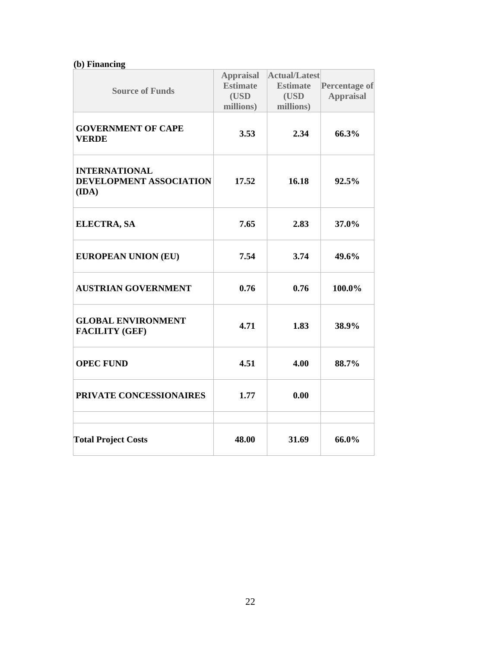# **(b) Financing**

| <b>Source of Funds</b>                                          | <b>Appraisal</b><br><b>Estimate</b><br>(USD<br>millions) | Actual/Latest<br><b>Estimate</b><br>(USD<br>millions) | <b>Percentage of</b><br><b>Appraisal</b> |
|-----------------------------------------------------------------|----------------------------------------------------------|-------------------------------------------------------|------------------------------------------|
| <b>GOVERNMENT OF CAPE</b><br><b>VERDE</b>                       | 3.53                                                     | 2.34                                                  | 66.3%                                    |
| <b>INTERNATIONAL</b><br><b>DEVELOPMENT ASSOCIATION</b><br>(IDA) | 17.52                                                    | 16.18                                                 | 92.5%                                    |
| <b>ELECTRA, SA</b>                                              | 7.65                                                     | 2.83                                                  | 37.0%                                    |
| <b>EUROPEAN UNION (EU)</b>                                      | 7.54                                                     | 3.74                                                  | 49.6%                                    |
| <b>AUSTRIAN GOVERNMENT</b>                                      | 0.76                                                     | 0.76                                                  | 100.0%                                   |
| <b>GLOBAL ENVIRONMENT</b><br><b>FACILITY (GEF)</b>              | 4.71                                                     | 1.83                                                  | 38.9%                                    |
| <b>OPEC FUND</b>                                                | 4.51                                                     | 4.00                                                  | 88.7%                                    |
| PRIVATE CONCESSIONAIRES                                         | 1.77                                                     | 0.00                                                  |                                          |
| <b>Total Project Costs</b>                                      | 48.00                                                    | 31.69                                                 | 66.0%                                    |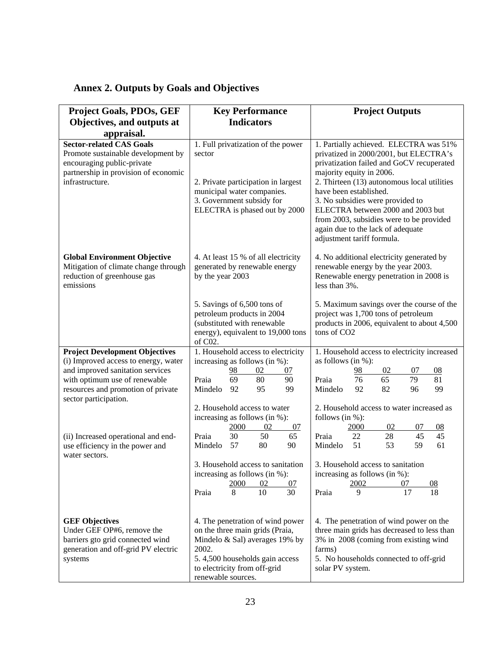|  |  |  |  |  | <b>Annex 2. Outputs by Goals and Objectives</b> |
|--|--|--|--|--|-------------------------------------------------|
|--|--|--|--|--|-------------------------------------------------|

| <b>Project Goals, PDOs, GEF</b>                                                                                                                                | <b>Key Performance</b>                                                                                                                                                           | <b>Project Outputs</b>                                                                                                                                                                                                                                                                                                                                                                                                     |
|----------------------------------------------------------------------------------------------------------------------------------------------------------------|----------------------------------------------------------------------------------------------------------------------------------------------------------------------------------|----------------------------------------------------------------------------------------------------------------------------------------------------------------------------------------------------------------------------------------------------------------------------------------------------------------------------------------------------------------------------------------------------------------------------|
| Objectives, and outputs at                                                                                                                                     | <b>Indicators</b>                                                                                                                                                                |                                                                                                                                                                                                                                                                                                                                                                                                                            |
| appraisal.                                                                                                                                                     |                                                                                                                                                                                  |                                                                                                                                                                                                                                                                                                                                                                                                                            |
| <b>Sector-related CAS Goals</b><br>Promote sustainable development by<br>encouraging public-private<br>partnership in provision of economic<br>infrastructure. | 1. Full privatization of the power<br>sector<br>2. Private participation in largest<br>municipal water companies.<br>3. Government subsidy for<br>ELECTRA is phased out by 2000  | 1. Partially achieved. ELECTRA was 51%<br>privatized in 2000/2001, but ELECTRA's<br>privatization failed and GoCV recuperated<br>majority equity in 2006.<br>2. Thirteen (13) autonomous local utilities<br>have been established.<br>3. No subsidies were provided to<br>ELECTRA between 2000 and 2003 but<br>from 2003, subsidies were to be provided<br>again due to the lack of adequate<br>adjustment tariff formula. |
| <b>Global Environment Objective</b><br>Mitigation of climate change through<br>reduction of greenhouse gas<br>emissions                                        | 4. At least 15 % of all electricity<br>generated by renewable energy<br>by the year 2003                                                                                         | 4. No additional electricity generated by<br>renewable energy by the year 2003.<br>Renewable energy penetration in 2008 is<br>less than 3%.                                                                                                                                                                                                                                                                                |
|                                                                                                                                                                | 5. Savings of 6,500 tons of<br>petroleum products in 2004<br>(substituted with renewable<br>energy), equivalent to 19,000 tons<br>of C02.                                        | 5. Maximum savings over the course of the<br>project was 1,700 tons of petroleum<br>products in 2006, equivalent to about 4,500<br>tons of CO <sub>2</sub>                                                                                                                                                                                                                                                                 |
| <b>Project Development Objectives</b>                                                                                                                          | 1. Household access to electricity                                                                                                                                               | 1. Household access to electricity increased                                                                                                                                                                                                                                                                                                                                                                               |
| (i) Improved access to energy, water                                                                                                                           | increasing as follows (in %):                                                                                                                                                    | as follows (in $%$ ):                                                                                                                                                                                                                                                                                                                                                                                                      |
| and improved sanitation services<br>with optimum use of renewable                                                                                              | 02<br>98<br>07<br>69<br>80<br>Praia<br>90                                                                                                                                        | 02<br>98<br>07<br>08<br>76<br>65<br>79<br>81<br>Praia                                                                                                                                                                                                                                                                                                                                                                      |
| resources and promotion of private<br>sector participation.                                                                                                    | Mindelo<br>92<br>95<br>99                                                                                                                                                        | 82<br>Mindelo<br>92<br>96<br>99                                                                                                                                                                                                                                                                                                                                                                                            |
|                                                                                                                                                                | 2. Household access to water                                                                                                                                                     | 2. Household access to water increased as                                                                                                                                                                                                                                                                                                                                                                                  |
|                                                                                                                                                                | increasing as follows (in %):                                                                                                                                                    | follows (in $%$ ):                                                                                                                                                                                                                                                                                                                                                                                                         |
| (ii) Increased operational and end-                                                                                                                            | 2000<br>02<br>07<br>30<br>50<br>65<br>Praia                                                                                                                                      | 2000<br>02<br>07<br>08<br>22<br>28<br>45<br>45<br>Praia                                                                                                                                                                                                                                                                                                                                                                    |
| use efficiency in the power and<br>water sectors.                                                                                                              | 57<br>Mindelo<br>80<br>90                                                                                                                                                        | 51<br>53<br>59<br>Mindelo<br>61                                                                                                                                                                                                                                                                                                                                                                                            |
|                                                                                                                                                                | 3. Household access to sanitation                                                                                                                                                | 3. Household access to sanitation                                                                                                                                                                                                                                                                                                                                                                                          |
|                                                                                                                                                                | increasing as follows (in %):                                                                                                                                                    | increasing as follows (in %):                                                                                                                                                                                                                                                                                                                                                                                              |
|                                                                                                                                                                | 2000<br>02<br>07<br>30<br>10<br>8<br>Praia                                                                                                                                       | 2002<br>07<br>08<br>17<br>9<br>18<br>Praia                                                                                                                                                                                                                                                                                                                                                                                 |
| <b>GEF Objectives</b><br>Under GEF OP#6, remove the<br>barriers gto grid connected wind<br>generation and off-grid PV electric<br>systems                      | 4. The penetration of wind power<br>on the three main grids (Praia,<br>Mindelo & Sal) averages 19% by<br>2002.<br>5.4,500 households gain access<br>to electricity from off-grid | 4. The penetration of wind power on the<br>three main grids has decreased to less than<br>3% in 2008 (coming from existing wind<br>farms)<br>5. No households connected to off-grid<br>solar PV system.                                                                                                                                                                                                                    |
|                                                                                                                                                                | renewable sources.                                                                                                                                                               |                                                                                                                                                                                                                                                                                                                                                                                                                            |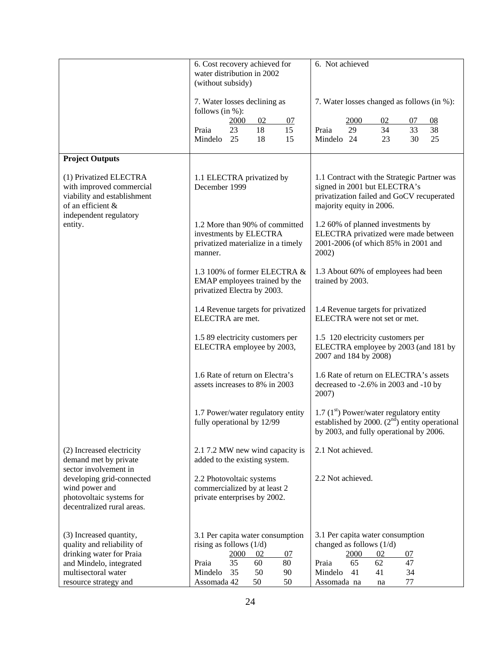|                                                                                                                                                              | 6. Cost recovery achieved for<br>water distribution in 2002<br>(without subsidy)                                                                                            | 6. Not achieved                                                                                                                                                              |
|--------------------------------------------------------------------------------------------------------------------------------------------------------------|-----------------------------------------------------------------------------------------------------------------------------------------------------------------------------|------------------------------------------------------------------------------------------------------------------------------------------------------------------------------|
|                                                                                                                                                              | 7. Water losses declining as<br>follows (in $%$ ):                                                                                                                          | 7. Water losses changed as follows (in %):                                                                                                                                   |
|                                                                                                                                                              | 07<br><u> 2000 </u><br>02<br>18<br>15<br>Praia<br>23<br>25<br>18<br>15<br>Mindelo                                                                                           | 2000<br>02<br>07<br>$\underline{08}$<br>34<br>33<br>38<br>Praia<br>29<br>Mindelo 24<br>23<br>30<br>25                                                                        |
| <b>Project Outputs</b>                                                                                                                                       |                                                                                                                                                                             |                                                                                                                                                                              |
| (1) Privatized ELECTRA<br>with improved commercial<br>viability and establishment<br>of an efficient &<br>independent regulatory                             | 1.1 ELECTRA privatized by<br>December 1999                                                                                                                                  | 1.1 Contract with the Strategic Partner was<br>signed in 2001 but ELECTRA's<br>privatization failed and GoCV recuperated<br>majority equity in 2006.                         |
| entity.                                                                                                                                                      | 1.2 More than 90% of committed<br>investments by ELECTRA<br>privatized materialize in a timely<br>manner.                                                                   | 1.2 60% of planned investments by<br>ELECTRA privatized were made between<br>2001-2006 (of which 85% in 2001 and<br>2002)                                                    |
|                                                                                                                                                              | 1.3 100% of former ELECTRA &<br>EMAP employees trained by the<br>privatized Electra by 2003.                                                                                | 1.3 About 60% of employees had been<br>trained by 2003.                                                                                                                      |
|                                                                                                                                                              | 1.4 Revenue targets for privatized<br>ELECTRA are met.                                                                                                                      | 1.4 Revenue targets for privatized<br>ELECTRA were not set or met.                                                                                                           |
|                                                                                                                                                              | 1.5 89 electricity customers per<br>ELECTRA employee by 2003,                                                                                                               | 1.5 120 electricity customers per<br>ELECTRA employee by 2003 (and 181 by<br>2007 and 184 by 2008)                                                                           |
|                                                                                                                                                              | 1.6 Rate of return on Electra's<br>assets increases to 8% in 2003                                                                                                           | 1.6 Rate of return on ELECTRA's assets<br>decreased to -2.6% in 2003 and -10 by<br>2007)                                                                                     |
|                                                                                                                                                              | 1.7 Power/water regulatory entity<br>fully operational by 12/99                                                                                                             | 1.7 $(1st)$ Power/water regulatory entity<br>established by 2000. $(2nd)$ entity operational<br>by 2003, and fully operational by 2006.                                      |
| (2) Increased electricity<br>demand met by private                                                                                                           | 2.1 7.2 MW new wind capacity is<br>added to the existing system.                                                                                                            | 2.1 Not achieved.                                                                                                                                                            |
| sector involvement in<br>developing grid-connected<br>wind power and<br>photovoltaic systems for<br>decentralized rural areas.                               | 2.2 Photovoltaic systems<br>commercialized by at least 2<br>private enterprises by 2002.                                                                                    | 2.2 Not achieved.                                                                                                                                                            |
| (3) Increased quantity,<br>quality and reliability of<br>drinking water for Praia<br>and Mindelo, integrated<br>multisectoral water<br>resource strategy and | 3.1 Per capita water consumption<br>rising as follows $(1/d)$<br>2000<br>02<br><u>07</u><br>35<br>60<br>80<br>Praia<br>Mindelo<br>35<br>50<br>90<br>Assomada 42<br>50<br>50 | 3.1 Per capita water consumption<br>changed as follows $(1/d)$<br>2000<br>02<br><u>07</u><br>Praia<br>65<br>62<br>47<br>Mindelo<br>41<br>41<br>34<br>77<br>Assomada na<br>na |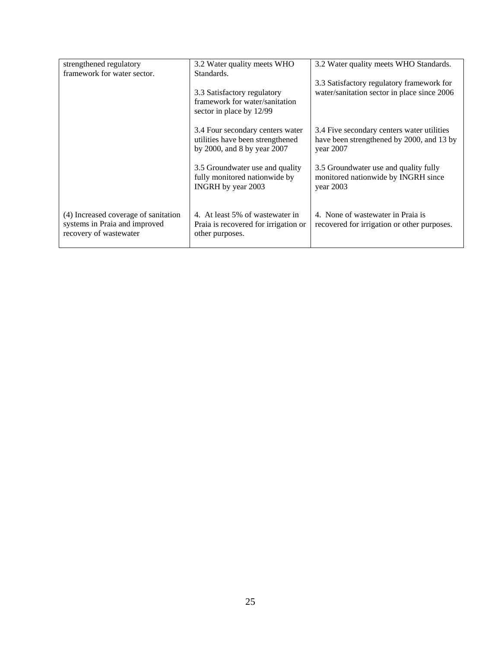| strengthened regulatory                                                                         | 3.2 Water quality meets WHO                                                                         | 3.2 Water quality meets WHO Standards.                                                               |
|-------------------------------------------------------------------------------------------------|-----------------------------------------------------------------------------------------------------|------------------------------------------------------------------------------------------------------|
| framework for water sector.                                                                     | Standards.                                                                                          |                                                                                                      |
|                                                                                                 | 3.3 Satisfactory regulatory<br>framework for water/sanitation<br>sector in place by 12/99           | 3.3 Satisfactory regulatory framework for<br>water/sanitation sector in place since 2006             |
|                                                                                                 | 3.4 Four secondary centers water<br>utilities have been strengthened<br>by 2000, and 8 by year 2007 | 3.4 Five secondary centers water utilities<br>have been strengthened by 2000, and 13 by<br>year 2007 |
|                                                                                                 | 3.5 Groundwater use and quality<br>fully monitored nationwide by<br>INGRH by year 2003              | 3.5 Groundwater use and quality fully<br>monitored nationwide by INGRH since<br>year $2003$          |
| (4) Increased coverage of sanitation<br>systems in Praia and improved<br>recovery of wastewater | 4. At least 5% of wastewater in<br>Praia is recovered for irrigation or<br>other purposes.          | 4. None of wastewater in Praia is<br>recovered for irrigation or other purposes.                     |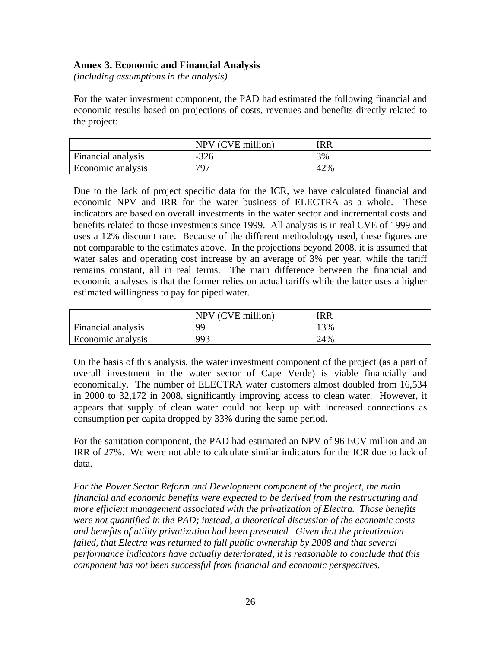# **Annex 3. Economic and Financial Analysis**

*(including assumptions in the analysis)* 

For the water investment component, the PAD had estimated the following financial and economic results based on projections of costs, revenues and benefits directly related to the project:

|                    | NPV (CVE million) | IRR |
|--------------------|-------------------|-----|
| Financial analysis | $-326$            | 3%  |
| Economic analysis  | 797               | 42% |

Due to the lack of project specific data for the ICR, we have calculated financial and economic NPV and IRR for the water business of ELECTRA as a whole. These indicators are based on overall investments in the water sector and incremental costs and benefits related to those investments since 1999. All analysis is in real CVE of 1999 and uses a 12% discount rate. Because of the different methodology used, these figures are not comparable to the estimates above. In the projections beyond 2008, it is assumed that water sales and operating cost increase by an average of 3% per year, while the tariff remains constant, all in real terms. The main difference between the financial and economic analyses is that the former relies on actual tariffs while the latter uses a higher estimated willingness to pay for piped water.

|                    | NPV (CVE million) | IRR |
|--------------------|-------------------|-----|
| Financial analysis | <b>QQ</b>         | 13% |
| Economic analysis  | 993               | 24% |

On the basis of this analysis, the water investment component of the project (as a part of overall investment in the water sector of Cape Verde) is viable financially and economically. The number of ELECTRA water customers almost doubled from 16,534 in 2000 to 32,172 in 2008, significantly improving access to clean water. However, it appears that supply of clean water could not keep up with increased connections as consumption per capita dropped by 33% during the same period.

For the sanitation component, the PAD had estimated an NPV of 96 ECV million and an IRR of 27%. We were not able to calculate similar indicators for the ICR due to lack of data.

*For the Power Sector Reform and Development component of the project, the main financial and economic benefits were expected to be derived from the restructuring and more efficient management associated with the privatization of Electra. Those benefits were not quantified in the PAD; instead, a theoretical discussion of the economic costs and benefits of utility privatization had been presented. Given that the privatization failed, that Electra was returned to full public ownership by 2008 and that several performance indicators have actually deteriorated, it is reasonable to conclude that this component has not been successful from financial and economic perspectives.*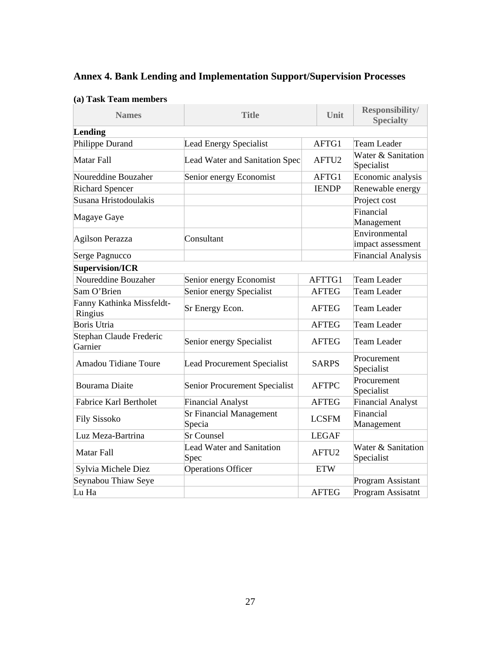| <b>Annex 4. Bank Lending and Implementation Support/Supervision Processes</b> |
|-------------------------------------------------------------------------------|
|-------------------------------------------------------------------------------|

| <b>Names</b><br><b>Title</b>         |                                          | Unit              | <b>Responsibility/</b><br><b>Specialty</b> |
|--------------------------------------|------------------------------------------|-------------------|--------------------------------------------|
| Lending                              |                                          |                   |                                            |
| Philippe Durand                      | <b>Lead Energy Specialist</b>            | AFTG1             | Team Leader                                |
| Matar Fall                           | Lead Water and Sanitation Spec           | AFTU <sub>2</sub> | Water & Sanitation<br>Specialist           |
| Noureddine Bouzaher                  | Senior energy Economist                  | AFTG1             | Economic analysis                          |
| <b>Richard Spencer</b>               |                                          | <b>IENDP</b>      | Renewable energy                           |
| Susana Hristodoulakis                |                                          |                   | Project cost                               |
| Magaye Gaye                          |                                          |                   | Financial<br>Management                    |
| Agilson Perazza                      | Consultant                               |                   | Environmental<br>impact assessment         |
| Serge Pagnucco                       |                                          |                   | <b>Financial Analysis</b>                  |
| <b>Supervision/ICR</b>               |                                          |                   |                                            |
| Noureddine Bouzaher                  | Senior energy Economist                  | AFTTG1            | <b>Team Leader</b>                         |
| Sam O'Brien                          | Senior energy Specialist                 | <b>AFTEG</b>      | Team Leader                                |
| Fanny Kathinka Missfeldt-<br>Ringius | Sr Energy Econ.                          | <b>AFTEG</b>      | <b>Team Leader</b>                         |
| <b>Boris Utria</b>                   |                                          | <b>AFTEG</b>      | <b>Team Leader</b>                         |
| Stephan Claude Frederic<br>Garnier   | Senior energy Specialist                 | <b>AFTEG</b>      | Team Leader                                |
| <b>Amadou Tidiane Toure</b>          | <b>Lead Procurement Specialist</b>       | <b>SARPS</b>      | Procurement<br>Specialist                  |
| <b>Bourama Diaite</b>                | Senior Procurement Specialist            | <b>AFTPC</b>      | Procurement<br>Specialist                  |
| <b>Fabrice Karl Bertholet</b>        | <b>Financial Analyst</b>                 | <b>AFTEG</b>      | Financial Analyst                          |
| <b>Fily Sissoko</b>                  | <b>Sr Financial Management</b><br>Specia | <b>LCSFM</b>      | Financial<br>Management                    |
| Luz Meza-Bartrina                    | <b>Sr Counsel</b><br><b>LEGAF</b>        |                   |                                            |
| Matar Fall                           | <b>Lead Water and Sanitation</b><br>Spec | AFTU <sub>2</sub> | Water & Sanitation<br>Specialist           |
| Sylvia Michele Diez                  | <b>Operations Officer</b>                | <b>ETW</b>        |                                            |
| Seynabou Thiaw Seye                  |                                          |                   | Program Assistant                          |
| Lu Ha                                |                                          | <b>AFTEG</b>      | Program Assisatnt                          |

# **(a) Task Team members**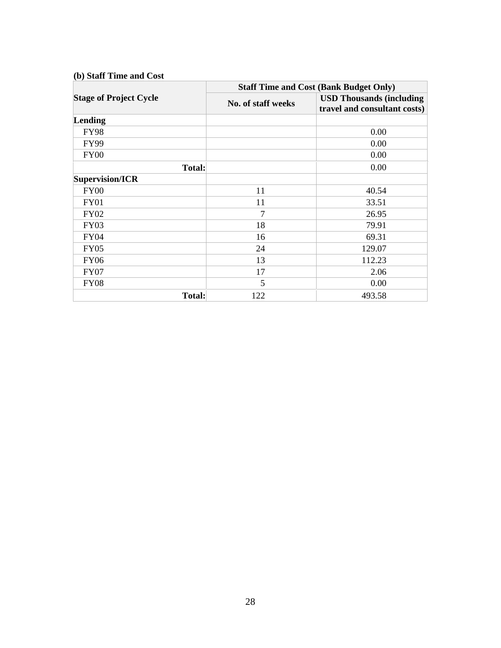|                               | <b>Staff Time and Cost (Bank Budget Only)</b> |                                                                 |  |
|-------------------------------|-----------------------------------------------|-----------------------------------------------------------------|--|
| <b>Stage of Project Cycle</b> | No. of staff weeks                            | <b>USD Thousands (including</b><br>travel and consultant costs) |  |
| Lending                       |                                               |                                                                 |  |
| <b>FY98</b>                   |                                               | 0.00                                                            |  |
| <b>FY99</b>                   |                                               | 0.00                                                            |  |
| <b>FY00</b>                   |                                               | 0.00                                                            |  |
| <b>Total:</b>                 |                                               | 0.00                                                            |  |
| Supervision/ICR               |                                               |                                                                 |  |
| <b>FY00</b>                   | 11                                            | 40.54                                                           |  |
| FY01                          | 11                                            | 33.51                                                           |  |
| <b>FY02</b>                   | 7                                             | 26.95                                                           |  |
| <b>FY03</b>                   | 18                                            | 79.91                                                           |  |
| <b>FY04</b>                   | 16                                            | 69.31                                                           |  |
| <b>FY05</b>                   | 24                                            | 129.07                                                          |  |
| <b>FY06</b>                   | 13                                            | 112.23                                                          |  |
| <b>FY07</b>                   | 17                                            | 2.06                                                            |  |
| <b>FY08</b>                   | 5                                             | 0.00                                                            |  |
| <b>Total:</b>                 | 122                                           | 493.58                                                          |  |

#### **(b) Staff Time and Cost**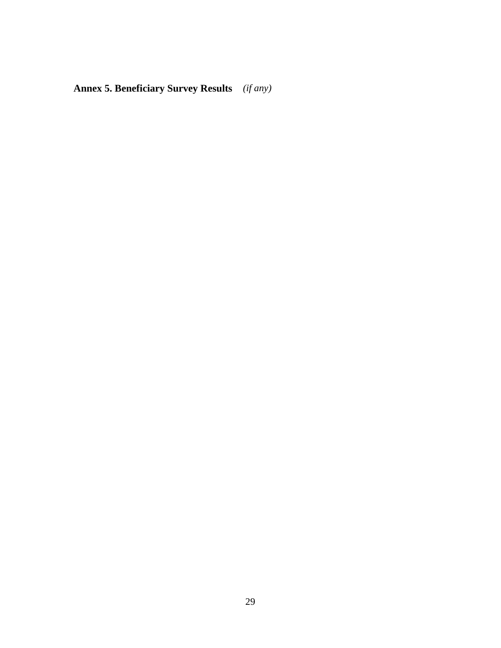**Annex 5. Beneficiary Survey Results** *(if any)*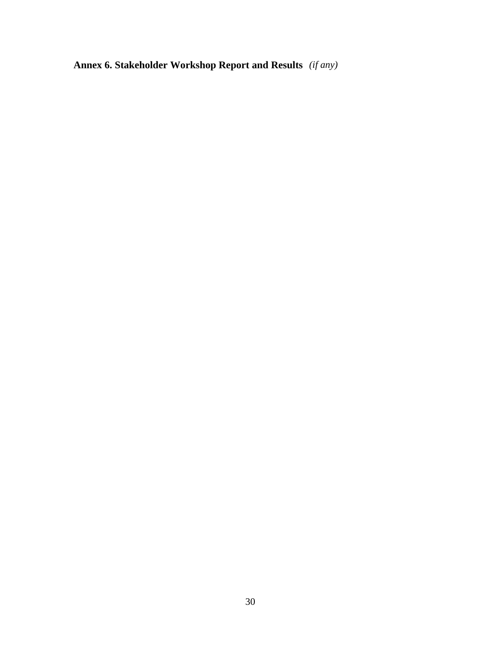**Annex 6. Stakeholder Workshop Report and Results** *(if any)*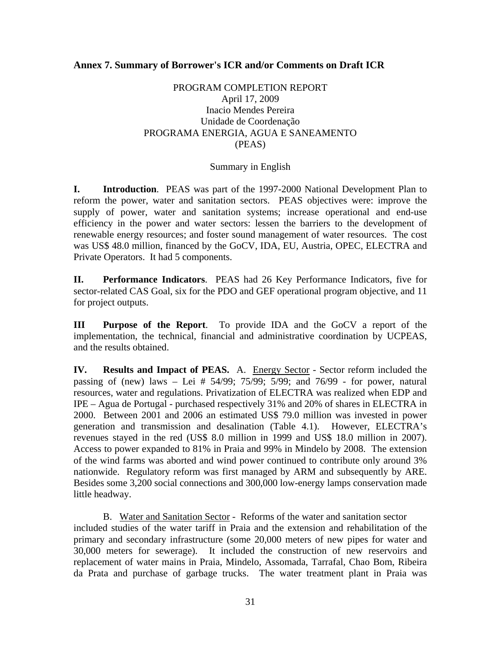# **Annex 7. Summary of Borrower's ICR and/or Comments on Draft ICR**

# PROGRAM COMPLETION REPORT April 17, 2009 Inacio Mendes Pereira Unidade de Coordenação PROGRAMA ENERGIA, AGUA E SANEAMENTO (PEAS)

# Summary in English

**I. Introduction**. PEAS was part of the 1997-2000 National Development Plan to reform the power, water and sanitation sectors. PEAS objectives were: improve the supply of power, water and sanitation systems; increase operational and end-use efficiency in the power and water sectors: lessen the barriers to the development of renewable energy resources; and foster sound management of water resources. The cost was US\$ 48.0 million, financed by the GoCV, IDA, EU, Austria, OPEC, ELECTRA and Private Operators. It had 5 components.

**II. Performance Indicators**. PEAS had 26 Key Performance Indicators, five for sector-related CAS Goal, six for the PDO and GEF operational program objective, and 11 for project outputs.

**III Purpose of the Report**. To provide IDA and the GoCV a report of the implementation, the technical, financial and administrative coordination by UCPEAS, and the results obtained.

**IV. Results and Impact of PEAS.** A. Energy Sector - Sector reform included the passing of (new) laws – Lei # 54/99; 75/99; 5/99; and 76/99 - for power, natural resources, water and regulations. Privatization of ELECTRA was realized when EDP and IPE – Agua de Portugal - purchased respectively 31% and 20% of shares in ELECTRA in 2000. Between 2001 and 2006 an estimated US\$ 79.0 million was invested in power generation and transmission and desalination (Table 4.1). However, ELECTRA's revenues stayed in the red (US\$ 8.0 million in 1999 and US\$ 18.0 million in 2007). Access to power expanded to 81% in Praia and 99% in Mindelo by 2008. The extension of the wind farms was aborted and wind power continued to contribute only around 3% nationwide. Regulatory reform was first managed by ARM and subsequently by ARE. Besides some 3,200 social connections and 300,000 low-energy lamps conservation made little headway.

B. Water and Sanitation Sector - Reforms of the water and sanitation sector included studies of the water tariff in Praia and the extension and rehabilitation of the primary and secondary infrastructure (some 20,000 meters of new pipes for water and 30,000 meters for sewerage). It included the construction of new reservoirs and replacement of water mains in Praia, Mindelo, Assomada, Tarrafal, Chao Bom, Ribeira da Prata and purchase of garbage trucks. The water treatment plant in Praia was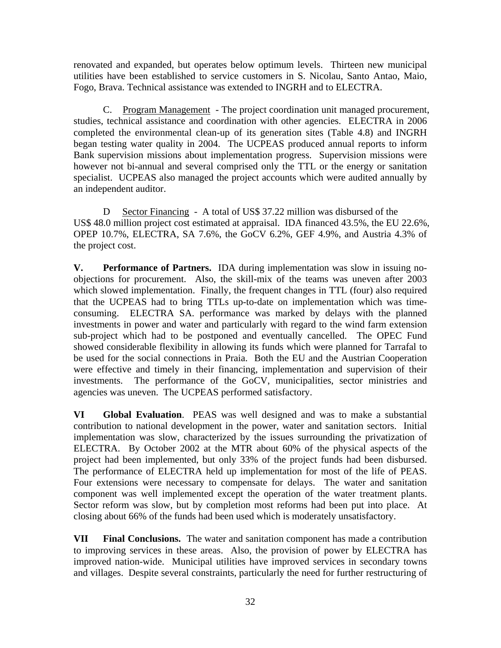renovated and expanded, but operates below optimum levels. Thirteen new municipal utilities have been established to service customers in S. Nicolau, Santo Antao, Maio, Fogo, Brava. Technical assistance was extended to INGRH and to ELECTRA.

C. Program Management - The project coordination unit managed procurement, studies, technical assistance and coordination with other agencies. ELECTRA in 2006 completed the environmental clean-up of its generation sites (Table 4.8) and INGRH began testing water quality in 2004. The UCPEAS produced annual reports to inform Bank supervision missions about implementation progress. Supervision missions were however not bi-annual and several comprised only the TTL or the energy or sanitation specialist. UCPEAS also managed the project accounts which were audited annually by an independent auditor.

D Sector Financing - A total of US\$ 37.22 million was disbursed of the US\$ 48.0 million project cost estimated at appraisal. IDA financed 43.5%, the EU 22.6%, OPEP 10.7%, ELECTRA, SA 7.6%, the GoCV 6.2%, GEF 4.9%, and Austria 4.3% of the project cost.

**V. Performance of Partners.** IDA during implementation was slow in issuing noobjections for procurement. Also, the skill-mix of the teams was uneven after 2003 which slowed implementation. Finally, the frequent changes in TTL (four) also required that the UCPEAS had to bring TTLs up-to-date on implementation which was timeconsuming. ELECTRA SA. performance was marked by delays with the planned investments in power and water and particularly with regard to the wind farm extension sub-project which had to be postponed and eventually cancelled. The OPEC Fund showed considerable flexibility in allowing its funds which were planned for Tarrafal to be used for the social connections in Praia. Both the EU and the Austrian Cooperation were effective and timely in their financing, implementation and supervision of their investments. The performance of the GoCV, municipalities, sector ministries and agencies was uneven. The UCPEAS performed satisfactory.

**VI Global Evaluation**. PEAS was well designed and was to make a substantial contribution to national development in the power, water and sanitation sectors. Initial implementation was slow, characterized by the issues surrounding the privatization of ELECTRA. By October 2002 at the MTR about 60% of the physical aspects of the project had been implemented, but only 33% of the project funds had been disbursed. The performance of ELECTRA held up implementation for most of the life of PEAS. Four extensions were necessary to compensate for delays. The water and sanitation component was well implemented except the operation of the water treatment plants. Sector reform was slow, but by completion most reforms had been put into place. At closing about 66% of the funds had been used which is moderately unsatisfactory.

**VII Final Conclusions.** The water and sanitation component has made a contribution to improving services in these areas. Also, the provision of power by ELECTRA has improved nation-wide. Municipal utilities have improved services in secondary towns and villages. Despite several constraints, particularly the need for further restructuring of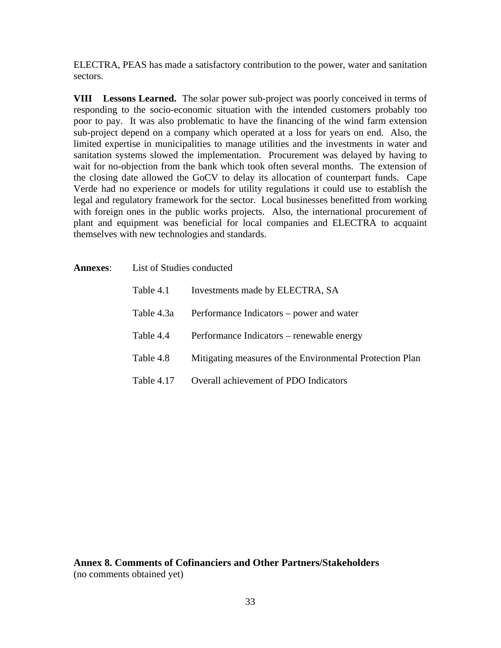ELECTRA, PEAS has made a satisfactory contribution to the power, water and sanitation sectors.

**VIII Lessons Learned.** The solar power sub-project was poorly conceived in terms of responding to the socio-economic situation with the intended customers probably too poor to pay. It was also problematic to have the financing of the wind farm extension sub-project depend on a company which operated at a loss for years on end. Also, the limited expertise in municipalities to manage utilities and the investments in water and sanitation systems slowed the implementation. Procurement was delayed by having to wait for no-objection from the bank which took often several months. The extension of the closing date allowed the GoCV to delay its allocation of counterpart funds. Cape Verde had no experience or models for utility regulations it could use to establish the legal and regulatory framework for the sector. Local businesses benefitted from working with foreign ones in the public works projects. Also, the international procurement of plant and equipment was beneficial for local companies and ELECTRA to acquaint themselves with new technologies and standards.

| <b>Annexes:</b> | List of Studies conducted |                                                          |
|-----------------|---------------------------|----------------------------------------------------------|
|                 | Table 4.1                 | Investments made by ELECTRA, SA                          |
|                 | Table 4.3a                | Performance Indicators – power and water                 |
|                 | Table 4.4                 | Performance Indicators – renewable energy                |
|                 | Table 4.8                 | Mitigating measures of the Environmental Protection Plan |
|                 | Table 4.17                | Overall achievement of PDO Indicators                    |

**Annex 8. Comments of Cofinanciers and Other Partners/Stakeholders**  (no comments obtained yet)